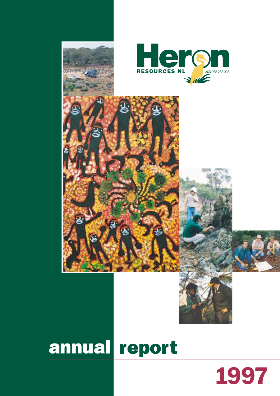

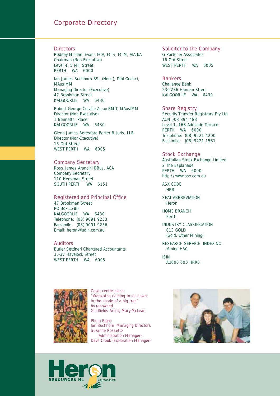### Corporate Directory

#### **Directors**

Rodney Michael Evans FCA, FCIS, FCIM, AIArbA *Chairman (Non Executive)* Level 4, 5 Mill Street PERTH WA 6000

Ian James Buchhorn BSc (Hons), Dipl Geosci, MAusIMM *Managing Director (Executive)* 47 Brookman Street KALGOORLIE WA 6430

Robert George Colville AssocRMIT, MAusIMM *Director (Non Executive)* 1 Bennetts Place KALGOORLIE WA 6430

Glenn James Beresford Porter B Juris, LLB *Director (Non-Executive)* 16 Ord Street WEST PERTH WA 6005

#### Company Secretary

Ross James Arancini BBus, ACA *Company Secretary* 110 Hensman Street SOUTH PERTH WA 6151

#### Registered and Principal Office

47 Brookman Street PO Box 1280 KALGOORLIE WA 6430 Telephone: (08) 9091 9253 Facsimile: (08) 9091 9256 Email: heron@ludin.com.au

#### **Auditors**

Butler Settineri Chartered Accountants 35-37 Havelock Street WEST PERTH WA 6005

#### Solicitor to the Company G Porter & Associates 16 Ord Street WEST PERTH WA 6005

Bankers Challenge Bank 230-236 Hannan Street KALGOORLIE WA 6430

Share Registry Security Transfer Registrars Pty Ltd ACN 008 894 488 Level 1, 168 Adelaide Terrace

PERTH WA 6000 Telephone: (08) 9221 4200 Facsimile: (08) 9221 1581

#### Stock Exchange

Australian Stock Exchange Limited 2 The Esplanade PERTH WA 6000 http://www.asx.com.au

ASX CODE **HRR** 

SEAT ABBREVIATION Heron

HOME BRANCH Perth

INDUSTRY CLASSIFICATION 013 GOLD (Gold, Other Mining)

RESEARCH SERVICE INDEX NO. Mining H50

ISIN AU000 000 HRR6



*Cover centre piece: "Wankatha coming to sit down in the shade of a big tree" by renowned Goldfields Artist, Mary McLean*

*Photo Right: Ian Buchhorn (Managing Director), Suzanne Rossetto (Administration Manager),* 

*Dave Crook (Exploration Manager)*



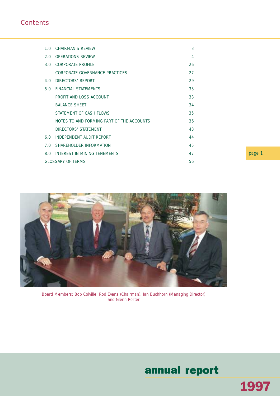### **Contents**

|     | 1.0 CHAIRMAN'S REVIEW                     | 3  |
|-----|-------------------------------------------|----|
|     |                                           |    |
| 2.0 | <b>OPERATIONS REVIEW</b>                  | 4  |
|     | 3.0 CORPORATE PROFILE                     | 26 |
|     | CORPORATE GOVERNANCE PRACTICES            | 27 |
| 4.0 | DIRECTORS' REPORT                         | 29 |
| 5.0 | FINANCIAL STATEMENTS                      | 33 |
|     | PROFIT AND LOSS ACCOUNT                   | 33 |
|     | <b>BALANCE SHEET</b>                      | 34 |
|     | STATEMENT OF CASH FLOWS                   | 35 |
|     | NOTES TO AND FORMING PART OF THE ACCOUNTS | 36 |
|     | DIRECTORS' STATEMENT                      | 43 |
| 60  | INDEPENDENT AUDIT REPORT                  | 44 |
| 7 O | SHAREHOLDER INFORMATION                   | 45 |
| 8.0 | INTEREST IN MINING TENEMENTS              | 47 |
|     | <b>GLOSSARY OF TERMS</b>                  | 56 |

page 1



*Board Members: Bob Colville, Rod Evans (Chairman), Ian Buchhorn (Managing Director) and Glenn Porter*

## annual report

1997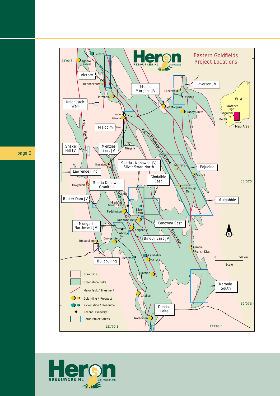

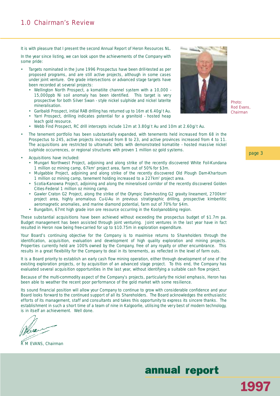It is with pleasure that I present the second Annual Report of Heron Resources NL.

In the year since listing, we can look upon the achievements of the Company with some pride:

- Targets nominated in the June 1996 Prospectus have been drill-tested as per proposed programs, and are still active projects, although in some cases under joint venture. Ore grade intersections or advanced stage targets have been recorded at several projects:
	- Wellington North Prospect, a komatiite channel system with a 10,000 15,000ppb Ni soil anomaly has been identified. This target is very prospective for both Silver Swan - style nickel sulphide and nickel laterite mineralisation.
	- Garibaldi Prospect, initial RAB drilling has returned up to 16m at 6.40g/t Au.
	- Yarri Prospect, drilling indicates potential for a granitoid hosted heap leach gold resource.
	- Webb Find Prospect, RC drill intercepts include 12m at 3.80g/t Au and 10m at 2.60g/t Au.
- The tenement portfolio has been substantially expanded, with tenements held increased from 68 in the Prospectus to 245, active projects increased from 8 to 23, and active provinces increased from 4 to 11. The acquisitions are restricted to ultramafic belts with demonstrated komatiite - hosted massive nickel sulphide occurrences, or regional structures with proven 1 million oz gold systems.
- Acquisitions have included:
	- Mungari Northwest Project, adjoining and along strike of the recently discovered White Foil-Kundana 1 million oz mining camp, 67km2 project area, farm out of 50% for \$3m.
	- Mulgabbie Project, adjoining and along strike of the recently discovered Old Plough Dam-Khartoum 1 million oz mining camp, tenement holding increased to a 227km2 project area.
	- Scotia-Kanowna Project, adjoining and along the mineralised corridor of the recently discovered Golden Cities-Federal 1 million oz mining camp.
	- Gawler Craton G2 Project, along the strike of the Olympic Dam-hosting G2 gravity lineament, 2700km<sup>2</sup> project area, highly anomalous Cu-U-Au in previous stratigraphic drilling, prospective kimberlitic aeromagnetic anomalies, and marine diamond potential, farm out of 70% for \$4m.
	- Bungalbin, 67mt high grade iron ore resource occurring in the Koolyanobbing region.

These substantial acquisitions have been achieved without exceeding the prospectus budget of \$1.7m pa. Budget management has been assisted through joint venturing. Joint ventures in the last year have in fact resulted in Heron now being free-carried for up to \$10.75m in exploration expenditure.

Your Board's continuing objective for the Company is to maximise returns to Shareholders through the identification, acquisition, evaluation and development of high quality exploration and mining projects. Properties currently held are 100% owned by the Company, free of any royalty or other encumbrance. This results in a great flexibility for the Company to deal in its tenements, as reflected in the level of farm outs.

It is a Board priority to establish an early cash flow mining operation, either through development of one of the existing exploration projects, or by acquisition of an advanced stage project. To this end, the Company has evaluated several acquisition opportunities in the last year, without identifying a suitable cash flow project.

Because of the multi-commodity aspect of the Company's projects, particularly the nickel emphasis, Heron has been able to weather the recent poor performance of the gold market with some resilience.

Its sound financial position will allow your Company to continue to grow with considerable confidence and your Board looks forward to the continued support of all its Shareholders. The Board acknowledges the enthusiastic efforts of its management, staff and consultants and takes this opportunity to express its sincere thanks. The establishment in such a short time of a team of nine in Kalgoorlie, utilising the very best of modern technology, is in itself an achievement. Well done.

R M EVANS, *Chairman*



*Photo: Rod Evans, Chairman*

page 3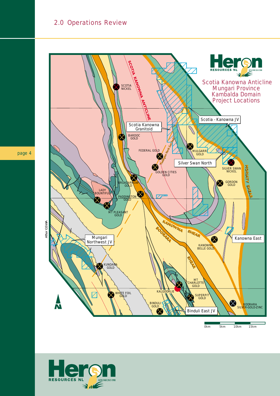

0km 5km 10km 15km

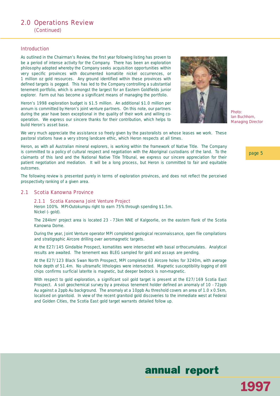### 2.0 Operations Review (Continued)

#### Introduction

As outlined in the Chairman's Review, the first year following listing has proven to be a period of intense activity for the Company. There has been an exploration philosophy adopted whereby the Company seeks acquisition opportunities within very specific provinces with documented komatiite nickel occurrences, or 1 million oz gold resources. Any ground identified within these provinces with defined targets is pegged. This has led to the Company controlling a substantial tenement portfolio, which is amongst the largest for an Eastern Goldfields junior explorer. Farm out has become a significant means of managing the portfolio.

Heron's 1998 exploration budget is \$1.5 million. An additional \$1.0 million per annum is committed by Heron's joint venture partners. On this note, our partners during the year have been exceptional in the quality of their work and willing cooperation. We express our sincere thanks for their contribution, which helps to build Heron's asset base.



*Photo: Ian Buchhorn, Managing Director*

We very much appreciate the assistance so freely given by the pastoralists on whose leases we work. These pastoral stations have a very strong landcare ethic, which Heron respects at all times.

Heron, as with all Australian mineral explorers, is working within the framework of Native Title. The Company is committed to a policy of cultural respect and negotiation with the Aboriginal custodians of the land. To the claimants of this land and the National Native Title Tribunal, we express our sincere appreciation for their patient negotiation and mediation. It will be a long process, but Heron is committed to fair and equitable outcomes.

The following review is presented purely in terms of exploration provinces, and does not reflect the perceived prospectivity ranking of a given area.

#### 2.1 Scotia Kanowna Province

#### 2.1.1 Scotia Kanowna Joint Venture Project

*Heron 100%. MPI-Outokumpu right to earn 75% through spending \$1.5m. Nickel (- gold).*

The 284km2 project area is located 23 - 73km NNE of Kalgoorlie, on the eastern flank of the Scotia Kanowna Dome.

During the year, Joint Venture operator MPI completed geological reconnaissance, open file compilations and stratigraphic Aircore drilling over aeromagnetic targets.

At the E27/145 Gindalbie Prospect, komatiites were intersected with basal orthocumulates. Analytical results are awaited. The tenement was BLEG sampled for gold and assays are pending.

At the E27/123 Black Swan North Prospect, MPI completed 63 Aircore holes for 3240m, with average hole depth of 51.4m. No ultramafic lithologies were intersected. Magnetic susceptibility logging of drill chips confirms surficial laterite is magnetic, but deeper bedrock is non-magnetic.

With respect to gold exploration, a significant soil gold target is present at the E27/169 Scotia East Prospect. A soil geochemical survey by a previous tenement holder defined an anomaly of 10 - 72ppb Au against a 2ppb Au background. The anomaly at a 10ppb Au threshold covers an area of 1.0 x 0.5km, localised on granitoid. In view of the recent granitoid gold discoveries to the immediate west at Federal and Golden Cities, the Scotia East gold target warrants detailed follow up.

page 5

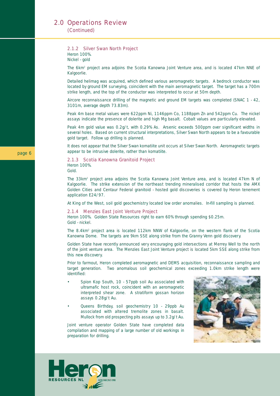(Continued)

#### 2.1.2 Silver Swan North Project

*Heron 100%. Nickel - gold*

The 6km<sup>2</sup> project area adjoins the Scotia Kanowna Joint Venture area, and is located 47km NNE of Kalgoorlie.

Detailed helimag was acquired, which defined various aeromagnetic targets. A bedrock conductor was located by ground EM surveying, coincident with the main aeromagnetic target. The target has a 700m strike length, and the top of the conductor was interpreted to occur at 50m depth.

Aircore reconnaissance drilling of the magnetic and ground EM targets was completed (SNAC 1 - 42, 3101m, average depth 73.83m).

Peak 4m base metal values were 622ppm Ni, 1146ppm Co, 1188ppm Zn and 542ppm Cu. The nickel assays indicate the presence of dolerite and high Mg basalt. Cobalt values are particularly elevated.

Peak 4m gold value was 0.2g/t, with 0.29% As. Arsenic exceeds 500ppm over significant widths in several holes. Based on current structural interpretations, Silver Swan North appears to be a favourable gold target. Follow up drilling is planned.

It does not appear that the Silver Swan komatiite unit occurs at Silver Swan North. Aeromagnetic targets appear to be intrusive dolerite, rather than komatiite.

#### 2.1.3 Scotia Kanowna Granitoid Project *Heron 100%.*

*Gold.*

The 33km<sup>2</sup> project area adjoins the Scotia Kanowna Joint Venture area, and is located 47km N of Kalgoorlie. The strike extension of the northeast trending mineralised corridor that hosts the AMX Golden Cities and Centaur Federal granitoid - hosted gold discoveries is covered by Heron tenement application E24/97.

At King of the West, soil gold geochemistry located low order anomalies. In-fill sampling is planned.

#### 2.1.4 Menzies East Joint Venture Project

*Heron 100%. Golden State Resources right to earn 60% through spending \$0.25m. Gold - nickel.*

The 8.4km2 project area is located 112km NNW of Kalgoorlie, on the western flank of the Scotia Kanowna Dome. The targets are 9km SSE along strike from the Granny Venn gold discovery.

Golden State have recently announced very encouraging gold intersections at Merrey Well to the north of the joint venture area. The Menzies East Joint Venture project is located 5km SSE along strike from this new discovery.

Prior to farmout, Heron completed aeromagnetic and DEMS acquisition, reconnaissance sampling and target generation. Two anomalous soil geochemical zones exceeding 1.0km strike length were identified:

- Spion Kop South, 10 57ppb soil Au associated with ultramafic host rock, coincident with an aeromagnetic interpreted shear zone. A stratiform gossan horizon assays 0.28g/t Au.
- Queens Birthday, soil geochemistry 10 29ppb Au associated with altered tremolite zones in basalt. Mullock from old prospecting pits assays up to 3.2g/t Au.

Joint venture operator Golden State have completed data compilation and mapping of a large number of old workings in preparation for drilling.



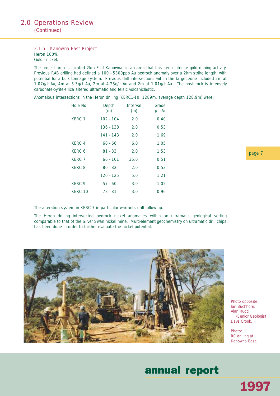#### 2.1.5 Kanowna East Project

*Heron 100%. Gold - nickel.*

The project area is located 2km E of Kanowna, in an area that has seen intense gold mining activity. Previous RAB drilling had defined a 100 - 5300ppb Au bedrock anomaly over a 2km strike length, with potential for a bulk tonnage system. Previous drill intersections within the target zone included 2m at 1.07g/t Au, 4m at 5.3g/t Au, 2m at 4.25g/t Au and 2m at 1.01g/t Au. The host rock is intensely carbonate-pyrite-silica altered ultramafic and felsic volcaniclastic.

Anomalous intersections in the Heron drilling (KERC1-10, 1289m, average depth 128.9m) were:

| Hole No.          | Depth<br>(m) | <b>Interval</b><br>(m) | Grade<br>g/t Au |
|-------------------|--------------|------------------------|-----------------|
| KERC 1            | $102 - 104$  | 2.0                    | 0.40            |
|                   | 136 - 138    | 2.0                    | 0.53            |
|                   | $141 - 143$  | 2.0                    | 1.69            |
| KFRC <sub>4</sub> | $60 - 66$    | 6.0                    | 1.05            |
| KFRC 6            | $81 - 83$    | 2.0                    | 1.53            |
| KFRC <sub>7</sub> | $66 - 101$   | 35.0                   | 0.51            |
| KFRC 8            | $80 - 82$    | 2.0                    | 0.53            |
|                   | $120 - 125$  | 5.0                    | 1.21            |
| KFRC <sub>9</sub> | $57 - 60$    | 3.0                    | 1.05            |
| KFRC 10           | 78 - 81      | 3.0                    | 0.96            |

The alteration system in KERC 7 in particular warrants drill follow up.

The Heron drilling intersected bedrock nickel anomalies within an ultramafic geological setting comparable to that of the Silver Swan nickel mine. Multi-element geochemistry on ultramafic drill chips has been done in order to further evaluate the nickel potential.



*Photo opposite: Ian Buchhorn, Alan Rudd (Senior Geologist), Dave Crook.*

*Photo: RC drilling at Kanowna East.*

## annual report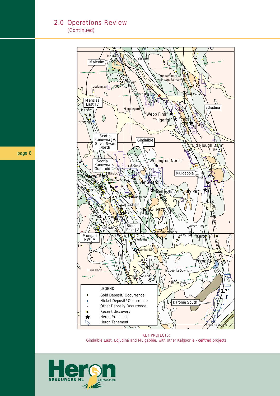(Continued)



*KEY PROJECTS: Gindalbie East, Edjudina and Mulgabbie, with other Kalgoorlie - centred projects*

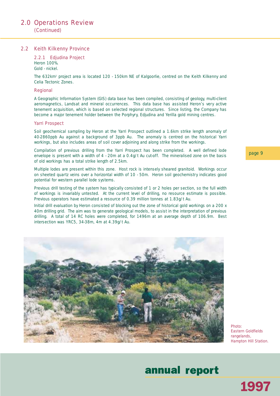(Continued)

#### 2.2 Keith Kilkenny Province

#### 2.2.1 Edjudina Project *Heron 100%.*

*Gold - nickel.*

The 632km2 project area is located 120 - 150km NE of Kalgoorlie, centred on the Keith Kilkenny and Celia Tectonic Zones.

#### Regional

A Geographic Information System (GIS) data base has been compiled, consisting of geology, multi-client aeromagnetics, Landsat and mineral occurrences. This data base has assisted Heron's very active tenement acquisition, which is based on selected regional structures. Since listing, the Company has become a major tenement holder between the Porphyry, Edjudina and Yerilla gold mining centres.

#### Yarri Prospect

Soil geochemical sampling by Heron at the Yarri Prospect outlined a 1.6km strike length anomaly of 40-2860ppb Au against a background of 3ppb Au. The anomaly is centred on the historical Yarri workings, but also includes areas of soil cover adjoining and along strike from the workings.

Compilation of previous drilling from the Yarri Prospect has been completed. A well defined lode envelope is present with a width of 4 - 20m at a 0.4g/t Au cut-off. The mineralised zone on the basis of old workings has a total strike length of 2.5km.

Multiple lodes are present within this zone. Host rock is intensely sheared granitoid. Workings occur on sheeted quartz veins over a horizontal width of 10 - 50m. Heron soil geochemistry indicates good potential for western parallel lode systems.

Previous drill testing of the system has typically consisted of 1 or 2 holes per section, so the full width of workings is invariably untested. At the current level of drilling, no resource estimate is possible. Previous operators have estimated a resource of 0.39 million tonnes at 1.83g/t Au.

Initial drill evaluation by Heron consisted of blocking out the zone of historical gold workings on a 200 x 40m drilling grid. The aim was to generate geological models, to assist in the interpretation of previous drilling. A total of 14 RC holes were completed, for 1496m at an average depth of 106.9m. Best intersection was YRC5, 34-38m, 4m at 4.39g/t Au.



*Photo: Eastern Goldfields rangelands, Hampton Hill Station.*

1997

## annual report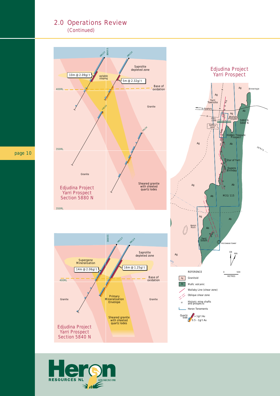(Continued)



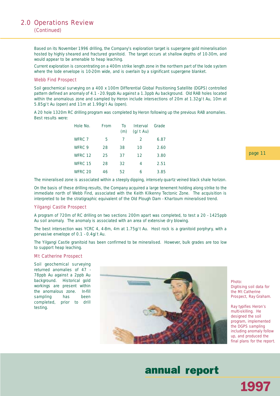(Continued)

Based on its November 1996 drilling, the Company's exploration target is supergene gold mineralisation hosted by highly sheared and fractured granitoid. The target occurs at shallow depths of 10-30m, and would appear to be amenable to heap leaching.

Current exploration is concentrating on a 400m strike length zone in the northern part of the lode system where the lode envelope is 10-20m wide, and is overlain by a significant supergene blanket.

#### Webb Find Prospect

Soil geochemical surveying on a 400 x 100m Differential Global Positioning Satellite (DGPS) controlled pattern defined an anomaly of 4.1 - 20.9ppb Au against a 1.3ppb Au background. Old RAB holes located within the anomalous zone and sampled by Heron include intersections of 20m at 1.32g/t Au, 10m at 5.85g/t Au (open) and 11m at 1.99g/t Au (open).

A 20 hole 1320m RC drilling program was completed by Heron following up the previous RAB anomalies. Best results were:

| Hole No. | <b>From</b> | Τo<br>(m) | <b>Interval</b><br>$(q/t \text{ Au})$ | Grade |
|----------|-------------|-----------|---------------------------------------|-------|
| WFRC 7   | 5           | 7         | $\mathcal{P}$                         | 6.87  |
| WFRC 9   | 28          | 38        | 10                                    | 2.60  |
| WFRC 12  | 25          | 37        | 12                                    | 3.80  |
| WFRC 15  | 28          | 32        | 4                                     | 2.51  |
| WFRC 20  | 46          | 52        | 6                                     | 3.85  |

The mineralised zone is associated within a steeply dipping, intensely quartz veined black shale horizon.

On the basis of these drilling results, the Company acquired a large tenement holding along strike to the immediate north of Webb Find, associated with the Keith Kilkenny Tectonic Zone. The acquisition is interpreted to be the stratigraphic equivalent of the Old Plough Dam - Khartoum mineralised trend.

#### Yilgangi Castle Prospect

A program of 720m of RC drilling on two sections 200m apart was completed, to test a 20 - 1425ppb Au soil anomaly. The anomaly is associated with an area of extensive dry blowing.

The best intersection was YCRC 4, 4-8m, 4m at 1.75g/t Au. Host rock is a granitoid porphyry, with a pervasive envelope of 0.1 - 0.4g/t Au.

The Yilgangi Castle granitoid has been confirmed to be mineralised. However, bulk grades are too low to support heap leaching.

#### Mt Catherine Prospect

Soil geochemical surveying returned anomalies of 47 - 78ppb Au against a 2ppb Au background. Historical gold workings are present within the anomalous zone. In-fill sampling has been completed, prior to drill testing.



*Photo: Digitising soil data for the Mt Catherine Prospect, Ray Graham.* 

*Ray typifies Heron's multi-skilling. He designed the soil program, implemented the DGPS sampling including anomaly follow up, and produced the final plans for the report.*

1997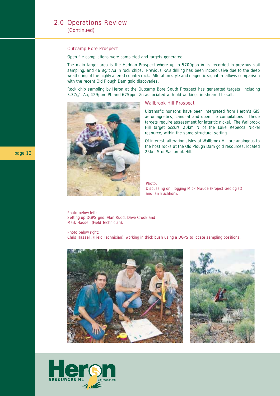#### Outcamp Bore Prospect

Open file compilations were completed and targets generated.

The main target area is the Hadrian Prospect where up to 5700ppb Au is recorded in previous soil sampling, and 46.8g/t Au in rock chips. Previous RAB drilling has been inconclusive due to the deep weathering of the highly altered country rock. Alteration style and magnetic signature allows comparison with the recent Old Plough Dam gold discoveries.

Rock chip sampling by Heron at the Outcamp Bore South Prospect has generated targets, including 3.37g/t Au, 429ppm Pb and 675ppm Zn associated with old workings in sheared basalt.



#### Wallbrook Hill Prospect

Ultramafic horizons have been interpreted from Heron's GIS aeromagnetics, Landsat and open file compilations. These targets require assessment for lateritic nickel. The Wallbrook Hill target occurs 20km N of the Lake Rebecca Nickel resource, within the same structural setting.

Of interest, alteration styles at Wallbrook Hill are analogous to the host rocks at the Old Plough Dam gold resources, located

*Photo: Discussing drill logging Mick Maude (Project Geologist) and Ian Buchhorn.*

*Photo below left: Setting up DGPS grid, Alan Rudd, Dave Crook and Mark Hassell (Field Technician).*

*Photo below right: Chris Hassell, (Field Technician), working in thick bush using a DGPS to locate sampling positions.*





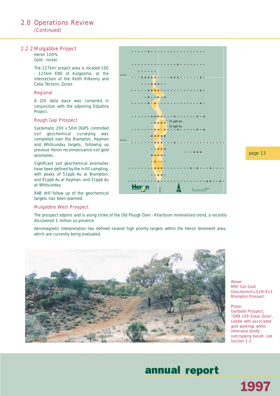(Continued)

#### 2.2.2 Mulgabbie Project

*Heron 100%. Gold - nickel.*

The 227km<sup>2</sup> project area is located 100 - 125km ENE of Kalgoorlie, at the intersection of the Keith Kilkenny and Celia Tectonic Zones.

#### Regional

A GIS data base was compiled in conjunction with the adjoining Edjudina Project.

#### Rough Gap Prospect

Systematic 200 x 50m DGPS controlled soil geochemical surveying was completed over the Brampton, Hayman and Whitsunday targets, following up previous Heron reconnaissance soil gold anomalies.

Significant soil geochemical anomalies have been defined by the in-fill sampling, with peaks of 51ppb Au at Brampton, and 91ppb Au at Hayman, and 31ppb Au at Whitsunday.

RAB drill follow up of the geochemical targets has been planned.

#### Mulgabbie West Prospect



page 13

The prospect adjoins and is along strike of the Old Plough Dam - Khartoum mineralised trend, a recently discovered 1 million oz province.

Aeromagnetic interpretation has defined several high priority targets within the Heron tenement area, which are currently being evaluated.



*Above: MMI Soil Gold Geochemistry E28/613 Brampton Prospect*

*Photo: Garibaldi Prospect, "GRB 109 Shear Zone", saddle with associated gold workings within otherwise boldly outcropping basalt, see Section 2.3.*

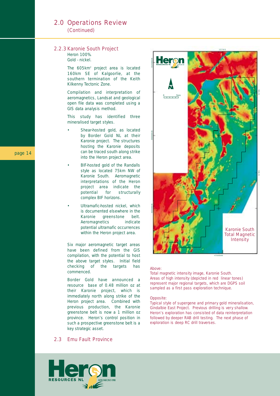#### 2.0 Operations Review (Continued)

#### 2.2.3 Karonie South Project

*Heron 100%. Gold - nickel.*

The 605km<sup>2</sup> project area is located 160km SE of Kalgoorlie, at the southern termination of the Keith Kilkenny Tectonic Zone.

Compilation and interpretation of aeromagnetics, Landsat and geological open file data was completed using a GIS data analysis method.

This study has identified three mineralised target styles.

- Shear-hosted gold, as located by Border Gold NL at their Karonie project. The structures hosting the Karonie deposits can be traced south along strike into the Heron project area.
- BIF-hosted gold of the Randalls style as located 75km NW of Karonie South. Aeromagnetic interpretations of the Heron project area indicate the potential for structurally complex BIF horizons.
- Ultramafic-hosted nickel, which is documented elsewhere in the Karonie greenstone belt. Aeromagnetics indicate potential ultramafic occurrences within the Heron project area.

Six major aeromagnetic target areas have been defined from the GIS compilation, with the potential to host the above target styles. Initial field checking of the targets has commenced.

Border Gold have announced a resource base of 0.48 million oz at their Karonie project, which is immediately north along strike of the Heron project area. Combined with previous production, the Karonie greenstone belt is now a 1 million oz province. Heron's control position in such a prospective greenstone belt is a key strategic asset.



#### *Above:*

*Total magnetic intensity image, Karonie South. Areas of high intensity (depicted in red linear tones) represent major regional targets, which are DGPS soil sampled as a first pass exploration technique.*

#### *Opposite:*

*Typical style of supergene and primary gold mineralisation, Gindalbie East Project. Previous drilling is very shallow. Heron's exploration has consisted of data reinterpretation followed by deeper RAB drill testing. The next phase of exploration is deep RC drill traverses.*

#### 2.3 Emu Fault Province

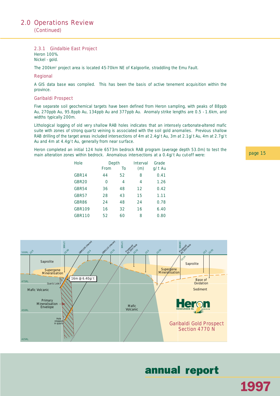(Continued)

#### 2.3.1 Gindalbie East Project

*Heron 100%. Nickel - gold.*

The 200km2 project area is located 45-70km NE of Kalgoorlie, straddling the Emu Fault.

#### Regional

A GIS data base was compiled. This has been the basis of active tenement acquisition within the province.

#### Garibaldi Prospect

Five separate soil geochemical targets have been defined from Heron sampling, with peaks of 88ppb Au, 270ppb Au, 95.8ppb Au, 134ppb Au and 377ppb Au. Anomaly strike lengths are 0.5 - 1.6km, and widths typically 200m.

Lithological logging of old very shallow RAB holes indicates that an intensely carbonate-altered mafic suite with zones of strong quartz veining is associated with the soil gold anomalies. Previous shallow RAB drilling of the target areas included intersections of 4m at 2.4g/t Au, 3m at 2.1g/t Au, 4m at 2.7g/t Au and 4m at 4.4g/t Au, generally from near surface.

Heron completed an initial 124 hole 6573m bedrock RAB program (average depth 53.0m) to test the main alteration zones within bedrock. Anomalous intersections at a 0.4g/t Au cut-off were:

| <b>Hole</b>       | Depth       |    | Grade<br><b>Interval</b> |        |  |
|-------------------|-------------|----|--------------------------|--------|--|
|                   | <b>From</b> | To | (m)                      | g/t Au |  |
| GBR14             | 44          | 52 | 8                        | 0.41   |  |
| GBR <sub>20</sub> | $\Omega$    | 4  | 4                        | 1.26   |  |
| GBR54             | 36          | 48 | 12                       | 0.42   |  |
| GBR57             | 28          | 43 | 15                       | 1.11   |  |
| GBR86             | 24          | 48 | 24                       | 0.78   |  |
| <b>GBR109</b>     | 16          | 32 | 16                       | 6.40   |  |
| <b>GBR110</b>     | 52          | 60 | 8                        | 0.80   |  |



## annual report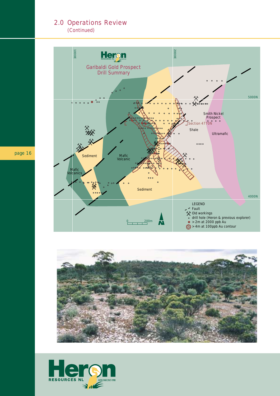(Continued)

![](_page_17_Figure_2.jpeg)

![](_page_17_Picture_3.jpeg)

![](_page_17_Picture_4.jpeg)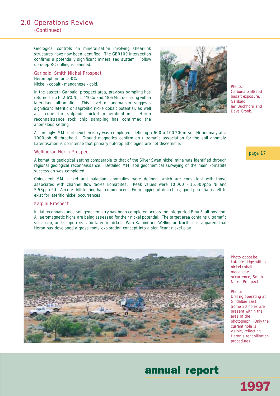### 2.0 Operations Review (Continued)

Geological controls on mineralisation involving shear-link structures have now been identified. The GBR109 intersection confirms a potentially significant mineralised system. Follow up deep RC drilling is planned.

Garibaldi Smith Nickel Prospect *Heron option for 100%. Nickel - cobalt - manganese - gold.*

In the eastern Garibaldi prospect area, previous sampling has returned up to 2.6% Ni, 1.4% Co and 48% Mn, occurring within lateritised ultramafic. This level of anomalism suggests significant lateritic or saprolitic nickel-cobalt potential, as well as scope for sulphide nickel mineralisation. Heron reconnaissance rock chip sampling has confirmed the anomalous setting.

![](_page_18_Picture_5.jpeg)

*Photo: Carbonate-altered basalt exposure, Garibaldi, Ian Buchhorn and Dave Crook.*

Accordingly, MMI soil geochemistry was completed, defining a 600 x 100-200m soil Ni anomaly at a 1000ppb Ni threshold. Ground magnetics confirm an ultramafic association for the soil anomaly. Lateritisation is so intense that primary outcrop lithologies are not discernible.

#### Wellington North Prospect

A komatiite geological setting comparable to that of the Silver Swan nickel mine was identified through regional geological reconnaissance. Detailed MMI soil geochemical surveying of the main komatiite succession was completed.

Coincident MMI nickel and paladium anomalies were defined, which are consistent with those associated with channel flow facies komatiites. Peak values were 10,000 - 15,000ppb Ni and 5.53ppb Pd. Aircore drill testing has commenced. From logging of drill chips, good potential is felt to exist for lateritic nickel occurrences.

#### Kalpini Prospect

Initial reconnaissance soil geochemistry has been completed across the interpreted Emu Fault position. All aeromagnetic highs are being assessed for their nickel potential. The target area contains ultramafic silica cap, and scope exists for lateritic nickel. With Kalpini and Wellington North, it is apparent that Heron has developed a grass roots exploration concept into a significant nickel play.

![](_page_18_Picture_13.jpeg)

*Photo: Drill rig operating at Gindalbie East. Some 30 holes are present within the area of the photograph. Only the current hole is visible, reflecting Heron's rehabilitation procedures.*

1997

## annual report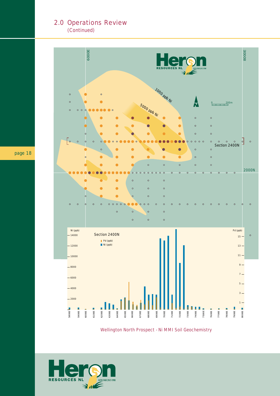(Continued)

![](_page_19_Figure_2.jpeg)

Wellington North Prospect - Ni MMI Soil Geochemistry

![](_page_19_Picture_4.jpeg)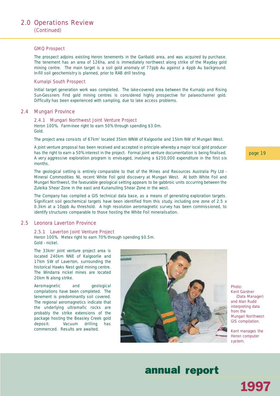#### GMQ Prospect

The prospect adjoins existing Heron tenements in the Garibaldi area, and was acquired by purchase. The tenement has an area of 126ha, and is immediately northwest along strike of the Mayday gold mining centre. The main target is a soil gold anomaly of 77ppb Au against a 4ppb Au background. In-fill soil geochemistry is planned, prior to RAB drill testing.

#### Kurnalpi South Prospect

Initial target generation work was completed. The lake-covered area between the Kurnalpi and Rising Sun-Gessners Find gold mining centres is considered highly prospective for palaeochannel gold. Difficulty has been experienced with sampling, due to lake access problems.

#### 2.4 Mungari Province

#### 2.4.1 Mungari Northwest Joint Venture Project

*Heron 100%. Farm-inee right to earn 50% through spending \$3.0m. Gold.*

The project area consists of 67km<sup>2</sup> located 35km WNW of Kalgoorlie and 15km NW of Mungari West.

A joint venture proposal has been received and accepted in principle whereby a major local gold producer has the right to earn a 50% interest in the project. Formal joint venture documentation is being finalised. A very aggressive exploration program is envisaged, involving a \$250,000 expenditure in the first six months.

The geological setting is entirely comparable to that of the Mines and Resources Australia Pty Ltd - Mineral Commodities NL recent White Foil gold discovery at Mungari West. At both White Foil and Mungari Northwest, the favourable geological setting appears to be gabbroic units occurring between the Zuleika Shear Zone in the east and Kunanulling Shear Zone in the west.

The Company has compiled a GIS technical data base, as a means of generating exploration targets. Significant soil geochemical targets have been identified from this study, including one zone of 2.5 x 0.3km at a 10ppb Au threshold. A high resolution aeromagnetic survey has been commissioned, to identify structures comparable to those hosting the White Foil mineralisation.

#### 2.5 Leonora Laverton Province

#### 2.5.1 Laverton Joint Venture Project

*Heron 100%. Metex right to earn 70% through spending \$0.5m. Gold - nickel.*

The 33km<sup>2</sup> joint venture project area is located 240km NNE of Kalgoorlie and 17km SW of Laverton, surrounding the historical Hawks Nest gold mining centre. The Windarra nickel mines are located 20km N along strike.

Aeromagnetic and geological compilations have been completed. The tenement is predominantly soil covered. The regional aeromagnetics indicate that the underlying ultramafic rocks are probably the strike extensions of the package hosting the Beasley Creek gold deposit. Vacuum drilling has commenced. Results are awaited.

![](_page_20_Picture_17.jpeg)

*Kent Gardner (Data Manager) and Alan Rudd interpreting data from the Mungari Northwest GIS compilation.*

*Photo:*

*Kent manages the Heron computer system.*

#### page 19

## annual report

1997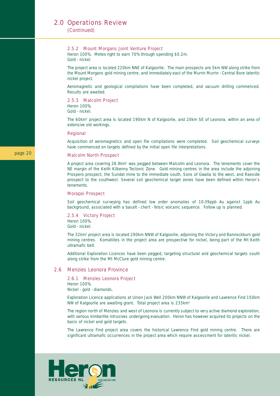(Continued)

#### 2.5.2 Mount Morgans Joint Venture Project

*Heron 100%. Metex right to earn 70% through spending \$0.2m. Gold - nickel.*

The project area is located 220km NNE of Kalgoorlie. The main prospects are 5km NW along strike from the Mount Morgans gold mining centre, and immediately east of the Murrin Murrin - Central Bore lateritic nickel project.

Aeromagnetic and geological compilations have been completed, and vacuum drilling commenced. Results are awaited.

2.5.3 Malcolm Project

*Heron 100%. Gold - nickel.*

The 60km2 project area is located 190km N of Kalgoorlie, and 20km SE of Leonora, within an area of extensive old workings.

#### Regional

Acquisition of aeromagnetics and open file compilations were completed. Soil geochemical surveys have commenced on targets defined by the initial open file interpretations.

#### Malcolm North Prospect

A project area covering 26.9km<sup>2</sup> was pegged between Malcolm and Leonora. The tenements cover the NE margin of the Keith Kilkenny Tectonic Zone. Gold mining centres in the area include the adjoining Prospero prospect, the Sundat mine to the immediate south, Sons of Gwalia to the west, and Raeside prospect to the southwest. Several soil geochemical target zones have been defined within Heron's tenements.

#### Morapoi Prospect

Soil geochemical surveying has defined low order anomalies of 10-39ppb Au against 1ppb Au background, associated with a basalt - chert - felsic volcanic sequence. Follow up is planned.

2.5.4 Victory Project *Heron 100%. Gold - nickel.*

The 32km<sup>2</sup> project area is located 290km NNW of Kalgoorlie, adjoining the Victory and Bannockburn gold mining centres. Komatiites in the project area are prospective for nickel, being part of the Mt Keith ultramafic belt.

Additional Exploration Licences have been pegged, targeting structural and geochemical targets south along strike from the Mt McClure gold mining centre.

#### 2.6 Menzies Leonora Province

#### 2.6.1 Menzies Leonora Project

*Heron 100%.*

*Nickel - gold - diamonds.*

Exploration Licence applications at Union Jack Well 200km NNW of Kalgoorlie and Lawrence Find 150km NW of Kalgoorlie are awaiting grant. Total project area is 235km2

The region north of Menzies and west of Leonora is currently subject to very active diamond exploration, with various kimberlite intrusives undergoing evaluation. Heron has however acquired its projects on the basis of nickel and gold targets.

The Lawrence Find project area covers the historical Lawrence Find gold mining centre. There are significant ultramafic occurrences in the project area which require assessment for lateritic nickel.

![](_page_21_Picture_25.jpeg)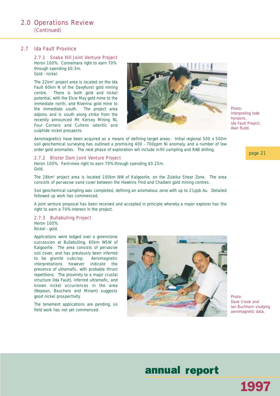### 2.0 Operations Review (Continued)

#### 2.7 Ida Fault Province

2.7.1 Snake Hill Joint Venture Project *Heron 100%. Connemara right to earn 70% through spending \$0.3m. Gold - nickel.*

The 22km<sup>2</sup> project area is located on the Ida Fault 60km N of the Davyhurst gold mining centre. There is both gold and nickel potential, with the Elsie May gold mine to the immediate north, and Riverina gold mine to the immediate south. The project area adjoins and is south along strike from the recently announced Mt Kersey Mining NL Four Corners and Cullens lateritic and sulphide nickel prospects.

![](_page_22_Picture_4.jpeg)

Aeromagnetics have been acquired as a means of defining target areas. Initial regional 500 x 500m soil geochemical surveying has outlined a promising 400 - 700ppm Ni anomaly, and a number of low order gold anomalies. The next phase of exploration will include in-fill sampling and RAB drilling.

#### 2.7.2 Blister Dam Joint Venture Project

*Heron 100%. Farm-inee right to earn 70% through spending \$0.25m. Gold.*

The 28km<sup>2</sup> project area is located 100km NW of Kalgoorlie, on the Zuleika Shear Zone. The area consists of pervasive sand cover between the Hawkins Find and Chadwin gold mining centres.

Soil geochemical sampling was completed, defining an anomalous zone with up to 21ppb Au. Detailed followed up work has commenced.

A joint venture proposal has been received and accepted in principle whereby a major explorer has the right to earn a 70% interest in the project.

#### 2.7.3 Bullabulling Project

*Heron 100%. Nickel - gold.*

Applications were lodged over a greenstone succession at Bullabulling, 60km WSW of Kalgoorlie. The area consists of pervasive soil cover, and has previously been inferred to be granite subcrop. Aeromagnetic interpretations however indicate the presence of ultramafic, with probable thrust repetitions. The proximity to a major crustal structure (Ida Fault), inferred ultramafic, and known nickel occurrences in the area (Nepean, Bouchers and Miriam) suggests good nickel prospectivity.

The tenement applications are pending, so field work has not yet commenced.

![](_page_22_Picture_15.jpeg)

*Photo: Dave Crook and Ian Buchhorn studying aeromagnetic data.*

1997

## annual report

*Photo: Interpreting lode horizons, Ida Fault Project, Alan Rudd.*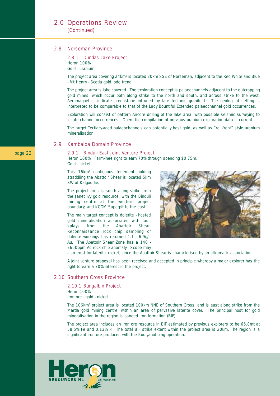(Continued)

#### 2.8 Norseman Province

#### 2.8.1 Dundas Lake Project *Heron 100%.*

*Gold - uranium.*

The project area covering 24km<sup>2</sup> is located 20km SSE of Norseman, adjacent to the Red White and Blue - Mt Henry - Scotia gold lode trend.

The project area is lake covered. The exploration concept is palaeochannels adjacent to the outcropping gold mines, which occur both along strike to the north and south, and across strike to the west. Aeromagnetics indicate greenstone intruded by late tectonic granitoid. The geological setting is interpreted to be comparable to that of the Lady Bountiful Extended palaeochannel gold occurrences.

Exploration will consist of pattern Aircore drilling of the lake area, with possible seismic surveying to locate channel occurrences. Open file compilation of previous uranium exploration data is current.

The target Tertiary-aged palaeochannels can potentially host gold, as well as "roll-front" style uranium mineralisation.

#### 2.9 Kambalda Domain Province

#### 2.9.1 Binduli East Joint Venture Project

*Heron 100%. Farm-inee right to earn 70% through spending \$0.75m. Gold - nickel.*

This 16km<sup>2</sup> contiguous tenement holding straddling the Abattoir Shear is located 5km SW of Kalgoorlie.

The project area is south along strike from the Janet Ivy gold resource, with the Binduli mining centre at the western project boundary, and KCGM Superpit to the east.

The main target concept is dolerite - hosted gold mineralisation associated with fault splays from the Abattoir Shear. Reconnaissance rock chip sampling of dolerite workings has returned 1.1 - 6.9g/t Au. The Abattoir Shear Zone has a 140 - 2650ppm As rock chip anomaly. Scope may

![](_page_23_Picture_15.jpeg)

also exist for lateritic nickel, since the Abattoir Shear is characterised by an ultramafic association.

A joint venture proposal has been received and accepted in principle whereby a major explorer has the right to earn a 70% interest in the project.

#### 2.10 Southern Cross Province

#### 2.10.1 Bungalbin Project

*Heron 100%. Iron ore - gold - nickel.*

The 106km<sup>2</sup> project area is located 100km NNE of Southern Cross, and is east along strike from the Marda gold mining centre, within an area of pervasive laterite cover. The principal host for gold mineralisation in the region is banded iron formation (BIF).

The project area includes an iron ore resource in BIF estimated by previous explorers to be 66.8mt at 58.5% Fe and 0.13% P. The total BIF strike extent within the project area is 20km. The region is a significant iron ore producer, with the Koolyanobbing operation.

![](_page_23_Picture_23.jpeg)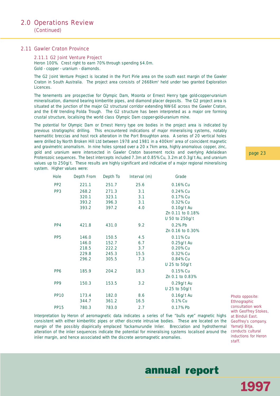#### 2.11 Gawler Craton Province

#### 2.11.1 G2 Joint Venture Project

*Heron 100%. Crest right to earn 70% through spending \$4.0m. Gold - copper - uranium - diamonds.*

The G2 Joint Venture Project is located in the Port Pirie area on the south east margin of the Gawler Craton in South Australia. The project area consists of 2668km<sup>2</sup> held under two granted Exploration Licences.

The tenements are prospective for Olympic Dam, Moonta or Ernest Henry type gold-copper-uranium mineralisation, diamond bearing kimberlite pipes, and diamond placer deposits. The G2 project area is situated at the junction of the major G2 structural corridor extending NW-SE across the Gawler Craton, and the E-W trending Polda Trough. The G2 structure has been interpreted as a major ore forming crustal structure, localising the world class Olympic Dam copper-gold-uranium mine.

The potential for Olympic Dam or Ernest Henry type ore bodies in the project area is indicated by previous stratigraphic drilling. This encountered indications of major mineralising systems, notably haematitic breccias and host rock alteration in the Port Broughton area. A series of 20 vertical holes were drilled by North Broken Hill Ltd between 1978 and 1981 in a 400km<sup>2</sup> area of coincident magnetic and gravimetric anomalism. In nine holes spread over a 20 x 7km area, highly anomalous copper, zinc, gold and uranium were intersected in Gawler Craton basement rocks and overlying Adelaidean Proterozoic sequences. The best intercepts included 7.3m at 0.85% Cu, 3.2m at 0.3g/t Au, and uranium values up to 250g/t. These results are highly significant and indicative of a major regional mineralising system. Higher values were:

| <b>Hole</b>     | <b>Depth From</b> | Depth To | Interval (m) | Grade            |
|-----------------|-------------------|----------|--------------|------------------|
| PP <sub>2</sub> | 221.1             | 251.7    | 25.6         | 0.16% Cu         |
| PP <sub>3</sub> | 268.2             | 271.3    | 3.1          | 0.24% Cu         |
|                 | 320.1             | 323.1    | 3.1          | 0.17% Cu         |
|                 | 393.2             | 396.3    | 3.1          | 0.32% Cu         |
|                 | 393.2             | 397.2    | 4.0          | 0.10g/t Au       |
|                 |                   |          |              | Zn 0.11 to 0.18% |
|                 |                   |          |              | U 50 to 250g/t   |
| PP4             | 421.8             | 431.0    | 9.2          | 0.2% Pb          |
|                 |                   |          |              | Zn 0.16 to 0.30% |
| PP <sub>5</sub> | 146.0             | 150.5    | 4.5          | 0.11% Cu         |
|                 | 146.0             | 152.7    | 6.7          | $0.25g/t$ Au     |
|                 | 218.5             | 222.2    | 3.7          | 0.20% Cu         |
|                 | 229.8             | 245.3    | 15.5         | 0.32% Cu         |
|                 | 296.2             | 305.5    | 7.3          | 0.84% Cu         |
|                 |                   |          |              | U 25 to 50g/t    |
| PP <sub>6</sub> | 185.9             | 204.2    | 18.3         | 0.15% Cu         |
|                 |                   |          |              | Zn 0.1 to 0.83%  |
| PP <sub>9</sub> | 150.3             | 153.5    | 3.2          | 0.29g/t Au       |
|                 |                   |          |              | U 25 to 50g/t    |
| <b>PP10</b>     | 173.4             | 182.0    | 8.6          | 0.16g/t Au       |
|                 | 344.7             | 361.2    | 16.5         | 0.1% Cu          |
| <b>PP15</b>     | 780.3             | 783.0    | 2.7          | 0.17% Pb         |
|                 |                   |          |              |                  |

Interpretation by Heron of aeromagnetic data indicates a series of five "bulls eye" magnetic highs consistent with either kimberlitic pipes or other discrete intrusive bodies. These are located on the margin of the possibly diapirically emplaced Yackamurundie Inlier. Brecciation and hydrothermal alteration of the inlier sequences indicate the potential for mineralising systems localised around the inlier margin, and hence associated with the discrete aeromagnetic anomalies.

*Photo opposite: Ethnographic consultation work with Geoffrey Stokes, at Binduli East. Geoffrey's company, Yamatji Bitja, conducts cultural inductions for Heron staff.*

1997

page 23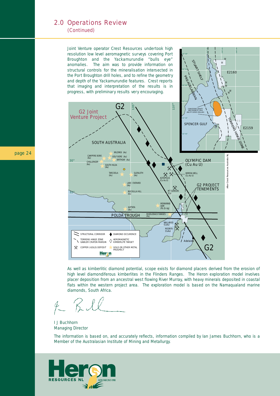#### (Continued)

Joint Venture operator Crest Resources undertook high resolution low level aeromagnetic surveys covering Port Broughton and the Yackamurundie "bulls eye" anomalies. The aim was to provide information on structural controls for the mineralisation intersected in the Port Broughton drill holes, and to refine the geometry and depth of the Yackamurundie features. Crest reports that imaging and interpretation of the results is in

![](_page_25_Figure_3.jpeg)

32° 30"

137˚ 45"

138˚ 00"

138˚ 15"

E2160

32° 45"

STUART SHELF

As well as kimberlitic diamond potential, scope exists for diamond placers derived from the erosion of high level diamondiferous kimberlites in the Flinders Ranges. The Heron exploration model involves placer deposition from an ancestral west flowing River Murray, with heavy minerals deposited in coastal flats within the western project area. The exploration model is based on the Namaqualand marine diamonds, South Africa.

I J Buchhorn *Managing Director*

*The information is based on, and accurately reflects, information compiled by Ian James Buchhorn, who is a Member of the Australasian Institute of Mining and Metallurgy.*

![](_page_25_Picture_8.jpeg)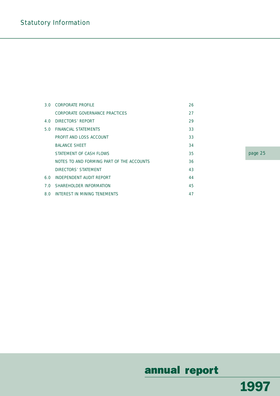| 3.0 <sub>1</sub> | <b>CORPORATE PROFILE</b>                  | 26 |
|------------------|-------------------------------------------|----|
|                  | CORPORATE GOVERNANCE PRACTICES            | 27 |
| 4.O              | DIRECTORS' REPORT                         | 29 |
| 5.0              | FINANCIAL STATEMENTS                      | 33 |
|                  | PROFIT AND LOSS ACCOUNT                   | 33 |
|                  | <b>BALANCE SHEET</b>                      | 34 |
|                  | STATEMENT OF CASH FLOWS                   | 35 |
|                  | NOTES TO AND FORMING PART OF THE ACCOUNTS | 36 |
|                  | DIRECTORS' STATEMENT                      | 43 |
| 6.0              | INDEPENDENT AUDIT REPORT                  | 44 |
|                  | 7.0 SHAREHOLDER INFORMATION               | 45 |
| 8.0              | INTEREST IN MINING TENEMENTS              | 47 |

page 25

## annual report

1997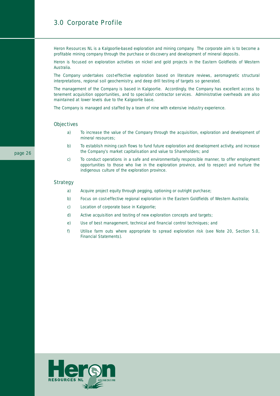### 3.0 Corporate Profile

Heron Resources NL is a Kalgoorlie-based exploration and mining company. The corporate aim is to become a profitable mining company through the purchase or discovery and development of mineral deposits.

Heron is focused on exploration activities on nickel and gold projects in the Eastern Goldfields of Western Australia.

The Company undertakes cost-effective exploration based on literature reviews, aeromagnetic structural interpretations, regional soil geochemistry, and deep drill testing of targets so generated.

The management of the Company is based in Kalgoorlie. Accordingly, the Company has excellent access to tenement acquisition opportunities, and to specialist contractor services. Administrative overheads are also maintained at lower levels due to the Kalgoorlie base.

The Company is managed and staffed by a team of nine with extensive industry experience.

#### **Objectives**

- a) To increase the value of the Company through the acquisition, exploration and development of mineral resources;
- b) To establish mining cash flows to fund future exploration and development activity, and increase the Company's market capitalisation and value to Shareholders; and
- c) To conduct operations in a safe and environmentally responsible manner, to offer employment opportunities to those who live in the exploration province, and to respect and nurture the indigenous culture of the exploration province.

#### **Strategy**

- a) Acquire project equity through pegging, optioning or outright purchase;
- b) Focus on cost-effective regional exploration in the Eastern Goldfields of Western Australia;
- c) Location of corporate base in Kalgoorlie;
- d) Active acquisition and testing of new exploration concepts and targets;
- e) Use of best management, technical and financial control techniques; and
- f) Utilise farm outs where appropriate to spread exploration risk (see Note 20, Section 5.0, Financial Statements).

![](_page_27_Picture_17.jpeg)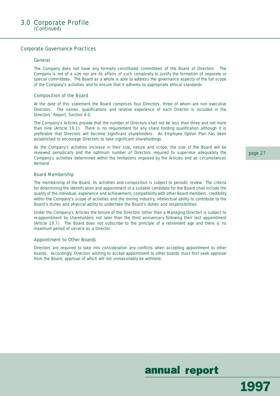#### Corporate Governance Practices

#### General

The Company does not have any formally constituted committees of the Board of Directors. The Company is not of a size nor are its affairs of such complexity to justify the formation of separate or special committees. The Board as a whole is able to address the governance aspects of the full scope of the Company's activities and to ensure that it adheres to appropriate ethical standards.

#### Composition of the Board

At the date of this statement the Board comprises four Directors, three of whom are non executive Directors. The names, qualifications and relative experience of each Director is included in the Directors' Report, Section 4.0.

The Company's Articles provide that the number of Directors shall not be less than three and not more than nine (Article 19.1). There is no requirement for any share holding qualification although it is preferable that Directors will become significant shareholders. An Employee Option Plan has been established to encourage Directors to take significant shareholdings.

As the Company's activities increase in their size, nature and scope, the size of the Board will be reviewed periodically and the optimum number of Directors required to supervise adequately the Company's activities determined within the limitations imposed by the Articles and as circumstances demand.

#### Board Membership

The membership of the Board, its activities and composition is subject to periodic review. The criteria for determining the identification and appointment of a suitable candidate for the Board shall include the quality of the individual, experience and achievement, compatibility with other Board members, credibility within the Company's scope of activities and the mining industry, intellectual ability to contribute to the Board's duties and physical ability to undertake the Board's duties and responsibilities.

Under the Company's Articles the tenure of the Directors (other than a Managing Director) is subject to re-appointment by shareholders not later than the third anniversary following their last appointment (Article 19.7). The Board does not subscribe to the principle of a retirement age and there is no maximum period of service as a Director.

#### Appointment to Other Boards

Directors are required to take into consideration any conflicts when accepting appointment to other boards. Accordingly, Directors wishing to accept appointment to other boards must first seek approval from the Board, approval of which will not unreasonably be withheld.

page 27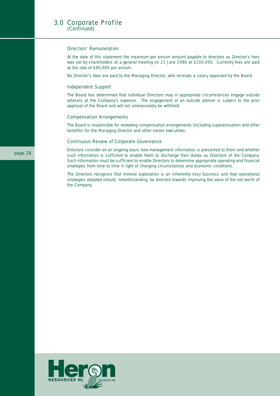#### 3.0 Corporate Profile (Continued)

#### Directors' Remuneration

At the date of this statement the maximum per annum amount payable to directors as Director's fees was set by shareholders at a general meeting on 21 June 1996 at \$100,000. Currently fees are paid at the rate of \$90,000 per annum.

No Director's fees are paid to the Managing Director, who receives a salary approved by the Board.

#### Independent Support

The Board has determined that individual Directors may in appropriate circumstances engage outside advisers at the Company's expense. The engagement of an outside adviser is subject to the prior approval of the Board and will not unreasonably be withheld.

#### Compensation Arrangements

The Board is responsible for reviewing compensation arrangements (including superannuation and other benefits) for the Managing Director and other senior executives.

#### Continuous Review of Corporate Governance

Directors consider on an ongoing basis how management information is presented to them and whether such information is sufficient to enable them to discharge their duties as Directors of the Company. Such information must be sufficient to enable Directors to determine appropriate operating and financial strategies from time to time in light of changing circumstances and economic conditions.

The Directors recognise that mineral exploration is an inherently risky business and that operational strategies adopted should, notwithstanding, be directed towards improving the value of the net worth of the Company.

![](_page_29_Picture_11.jpeg)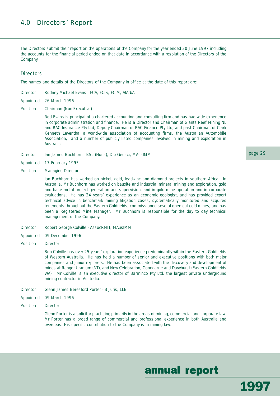### 4.0 Directors' Report

The Directors submit their report on the operations of the Company for the year ended 30 June 1997 including the accounts for the financial period ended on that date in accordance with a resolution of the Directors of the Company.

#### **Directors**

The names and details of the Directors of the Company in office at the date of this report are:

| <b>Director</b> | Rodney Michael Evans - FCA, FCIS, FCIM, AIArbA |  |  |  |  |
|-----------------|------------------------------------------------|--|--|--|--|
|-----------------|------------------------------------------------|--|--|--|--|

- Appointed 26 March 1996
- Position Chairman (Non-Executive)

Rod Evans is principal of a chartered accounting and consulting firm and has had wide experience in corporate administration and finance. He is a Director and Chairman of Giants Reef Mining NL and RAC Insurance Pty Ltd, Deputy Chairman of RAC Finance Pty Ltd, and past Chairman of Clark Kenneth Leventhal a world-wide association of accounting firms, the Australian Automobile Association, and a number of publicly listed companies involved in mining and exploration in Australia.

- Director Ian James Buchhorn BSc (Hons), Dip Geosci, MAusIMM
- Appointed 17 February 1995
- Position Managing Director

Ian Buchhorn has worked on nickel, gold, lead-zinc and diamond projects in southern Africa. In Australia, Mr Buchhorn has worked on bauxite and industrial mineral mining and exploration, gold and base metal project generation and supervision, and in gold mine operation and in corporate evaluations. He has 24 years' experience as an economic geologist, and has provided expert technical advice in benchmark mining litigation cases, systematically monitored and acquired tenements throughout the Eastern Goldfields, commissioned several open cut gold mines, and has been a Registered Mine Manager. Mr Buchhorn is responsible for the day to day technical management of the Company.

- Director Robert George Colville AssocRMIT, MAusIMM
- Appointed 09 December 1996
- **Position** Director

Bob Colville has over 25 years' exploration experience predominantly within the Eastern Goldfields of Western Australia. He has held a number of senior and executive positions with both major companies and junior explorers. He has been associated with the discovery and development of mines at Ranger Uranium (NT), and New Celebration, Goongarrie and Davyhurst (Eastern Goldfields WA). Mr Colville is an executive director of Barminco Pty Ltd, the largest private underground mining contractor in Australia.

- Director Glenn James Beresford Porter B Juris, LLB
- Appointed 09 March 1996
- Position Director

Glenn Porter is a solicitor practising primarily in the areas of mining, commercial and corporate law. Mr Porter has a broad range of commercial and professional experience in both Australia and overseas. His specific contribution to the Company is in mining law.

#### page 29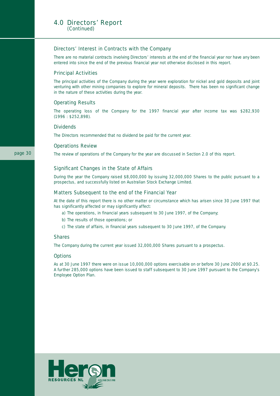#### 4.0 Directors' Report (Continued)

#### Directors' Interest in Contracts with the Company

There are no material contracts involving Directors' interests at the end of the financial year nor have any been entered into since the end of the previous financial year not otherwise disclosed in this report.

#### Principal Activities

The principal activities of the Company during the year were exploration for nickel and gold deposits and joint venturing with other mining companies to explore for mineral deposits. There has been no significant change in the nature of these activities during the year.

#### Operating Results

The operating loss of the Company for the 1997 financial year after income tax was \$282,930 (1996 : \$252,898).

#### **Dividends**

The Directors recommended that no dividend be paid for the current year.

#### Operations Review

The review of operations of the Company for the year are discussed in Section 2.0 of this report.

#### Significant Changes in the State of Affairs

During the year the Company raised \$8,000,000 by issuing 32,000,000 Shares to the public pursuant to a prospectus, and successfully listed on Australian Stock Exchange Limited.

#### Matters Subsequent to the end of the Financial Year

At the date of this report there is no other matter or circumstance which has arisen since 30 June 1997 that has significantly affected or may significantly affect:

- a) The operations, in financial years subsequent to 30 June 1997, of the Company;
- b) The results of those operations; or
- c) The state of affairs, in financial years subsequent to 30 June 1997, of the Company.

#### Shares

The Company during the current year issued 32,000,000 Shares pursuant to a prospectus.

#### **Options**

As at 30 June 1997 there were on issue 10,000,000 options exercisable on or before 30 June 2000 at \$0.25. A further 285,000 options have been issued to staff subsequent to 30 June 1997 pursuant to the Company's Employee Option Plan.

![](_page_31_Picture_22.jpeg)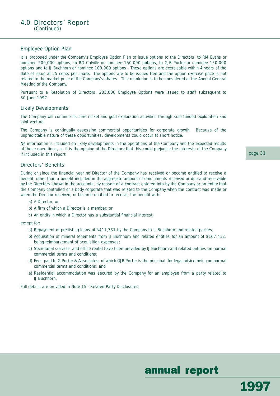#### Employee Option Plan

It is proposed under the Company's Employee Option Plan to issue options to the Directors; to RM Evans or nominee 200,000 options, to RG Colville or nominee 150,000 options, to GJB Porter or nominee 150,000 options and to IJ Buchhorn or nominee 100,000 options. These options are exercisable within 4 years of the date of issue at 25 cents per share. The options are to be issued free and the option exercise price is not related to the market price of the Company's shares. This resolution is to be considered at the Annual General Meeting of the Company.

Pursuant to a Resolution of Directors, 285,000 Employee Options were issued to staff subsequent to 30 June 1997.

#### Likely Developments

The Company will continue its core nickel and gold exploration activities through sole funded exploration and joint venture.

The Company is continually assessing commercial opportunities for corporate growth. Because of the unpredictable nature of these opportunities, developments could occur at short notice.

No information is included on likely developments in the operations of the Company and the expected results of those operations, as it is the opinion of the Directors that this could prejudice the interests of the Company if included in this report.

#### Directors' Benefits

During or since the financial year no Director of the Company has received or become entitled to receive a benefit, other than a benefit included in the aggregate amount of emoluments received or due and receivable by the Directors shown in the accounts, by reason of a contract entered into by the Company or an entity that the Company controlled or a body corporate that was related to the Company when the contract was made or when the Director received, or became entitled to receive, the benefit with:

- a) A Director; or
- b) A firm of which a Director is a member; or
- c) An entity in which a Director has a substantial financial interest,

except for:

- a) Repayment of pre-listing loans of \$417,731 by the Company to IJ Buchhorn and related parties;
- b) Acquisition of mineral tenements from IJ Buchhorn and related entities for an amount of \$167,412, being reimbursement of acquisition expenses;
- c) Secretarial services and office rental have been provided by IJ Buchhorn and related entities on normal commercial terms and conditions;
- d) Fees paid to G Porter & Associates, of which GJB Porter is the principal, for legal advice being on normal commercial terms and conditions; and
- e) Residential accommodation was secured by the Company for an employee from a party related to IJ Buchhorn.

Full details are provided in Note 15 - Related Party Disclosures.

page 31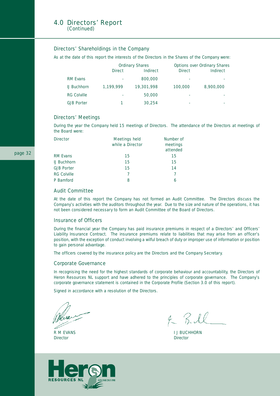#### 4.0 Directors' Report (Continued)

#### Directors' Shareholdings in the Company

As at the date of this report the interests of the Directors in the Shares of the Company were:

|                    |               | <b>Ordinary Shares</b> | <b>Options over Ordinary Shares</b> |                 |
|--------------------|---------------|------------------------|-------------------------------------|-----------------|
|                    | <b>Direct</b> | <b>Indirect</b>        | <b>Direct</b>                       | <b>Indirect</b> |
| <b>RM Evans</b>    |               | 800,000                | ٠                                   |                 |
| <b>IJ Buchhorn</b> | 1.199.999     | 19,301,998             | 100,000                             | 8,900,000       |
| <b>RG Colville</b> |               | 50,000                 | ٠                                   |                 |
| <b>GJB Porter</b>  |               | 30.254                 | ٠                                   |                 |

#### Directors' Meetings

During the year the Company held 15 meetings of Directors. The attendance of the Directors at meetings of the Board were:

| <b>Director</b>    | <b>Meetings held</b><br>while a Director | Number of<br>meetings<br>attended |
|--------------------|------------------------------------------|-----------------------------------|
| <b>RM Evans</b>    | 15                                       | 15                                |
| <b>IJ Buchhorn</b> | 15                                       | 15                                |
| <b>GJB Porter</b>  | 15                                       | 14                                |
| <b>RG Colville</b> |                                          |                                   |
| P Bamford          | 8                                        | 6                                 |

#### Audit Committee

At the date of this report the Company has not formed an Audit Committee. The Directors discuss the Company's activities with the auditors throughout the year. Due to the size and nature of the operations, it has not been considered necessary to form an Audit Committee of the Board of Directors.

#### Insurance of Officers

During the financial year the Company has paid insurance premiums in respect of a Directors' and Officers' Liability Insurance Contract. The insurance premiums relate to liabilities that may arise from an officer's position, with the exception of conduct involving a wilful breach of duty or improper use of information or position to gain personal advantage.

The officers covered by the insurance policy are the Directors and the Company Secretary.

#### Corporate Governance

In recognising the need for the highest standards of corporate behaviour and accountability, the Directors of Heron Resources NL support and have adhered to the principles of corporate governance. The Company's corporate governance statement is contained in the Corporate Profile (Section 3.0 of this report).

Signed in accordance with a resolution of the Directors.

*Director Director*

 $4 - RIL$ 

R M EVANS **I** J BUCHHORN

![](_page_33_Picture_19.jpeg)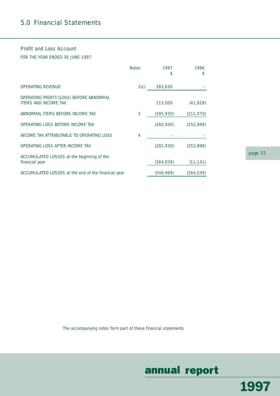### 5.0 Financial Statements

#### Profit and Loss Account

FOR THE YEAR ENDED 30 JUNE 1997

|                                                                        | <b>Notes</b> | 1997<br>\$ | 1996<br>\$ |
|------------------------------------------------------------------------|--------------|------------|------------|
| <b>OPERATING REVENUE</b>                                               | 2(c)         | 383,630    |            |
| OPERATING PROFIT/(LOSS) BEFORE ABNORMAL<br><b>ITEMS AND INCOME TAX</b> |              | 113,000    | (41, 828)  |
| ABNORMAL ITEMS BEFORE INCOME TAX                                       | 3            | (395, 930) | (211, 070) |
| OPERATING LOSS BEFORE INCOME TAX                                       |              | (282,930)  | (252, 898) |
| INCOME TAX ATTRIBUTABLE TO OPERATING LOSS                              | 4            |            |            |
| OPERATING LOSS AFTER INCOME TAX                                        |              | (282,930)  | (252, 898) |
| ACCUMULATED LOSSES at the beginning of the<br>financial year           |              | (264,039)  | (11, 141)  |
| ACCUMULATED LOSSES at the end of the financial year                    |              | (546, 969) | (264, 039) |

page 33

The accompanying notes form part of these financial statements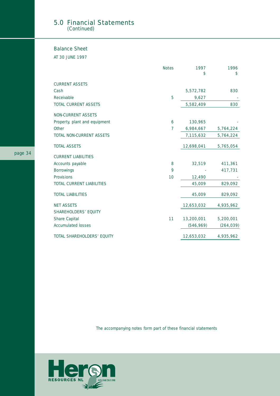#### 5.0 Financial Statements (Continued)

#### Balance Sheet

AT 30 JUNE 1997

|                               | <b>Notes</b> | 1997<br>\$ | 1996<br>\$ |
|-------------------------------|--------------|------------|------------|
|                               |              |            |            |
| <b>CURRENT ASSETS</b>         |              |            |            |
| Cash                          |              | 5,572,782  | 830        |
| Receivable                    | 5            | 9,627      |            |
| <b>TOTAL CURRENT ASSETS</b>   |              | 5,582,409  | 830        |
| NON-CURRENT ASSETS            |              |            |            |
| Property, plant and equipment | 6            | 130,965    |            |
| Other                         | 7            | 6,984,667  | 5,764,224  |
| TOTAL NON-CURRENT ASSETS      |              | 7,115,632  | 5,764,224  |
| <b>TOTAL ASSETS</b>           |              | 12,698,041 | 5,765,054  |
| <b>CURRENT LIABILITIES</b>    |              |            |            |
| Accounts payable              | 8            | 32,519     | 411,361    |
| Borrowings                    | 9            |            | 417,731    |
| Provisions                    | 10           | 12,490     |            |
| TOTAL CURRENT LIABILITIES     |              | 45,009     | 829,092    |
| <b>TOTAL LIABILITIES</b>      |              | 45,009     | 829,092    |
| <b>NET ASSETS</b>             |              | 12,653,032 | 4,935,962  |
| <b>SHAREHOLDERS' EQUITY</b>   |              |            |            |
| Share Capital                 | 11           | 13,200,001 | 5,200,001  |
| <b>Accumulated losses</b>     |              | (546, 969) | (264, 039) |
| TOTAL SHAREHOLDERS' EQUITY    |              | 12,653,032 | 4,935,962  |

The accompanying notes form part of these financial statements

![](_page_35_Picture_5.jpeg)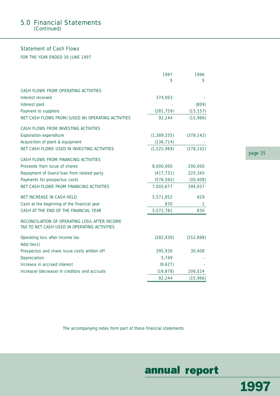#### 5.0 Financial Statements (Continued)

#### Statement of Cash Flows

FOR THE YEAR ENDED 30 JUNE 1997

|                                                                                               | 1997<br>S     | 1996<br>\$ |
|-----------------------------------------------------------------------------------------------|---------------|------------|
| CASH FLOWS FROM OPERATING ACTIVITIES                                                          |               |            |
| Interest received                                                                             | 374,003       |            |
| Interest paid                                                                                 |               | (809)      |
| Payment to suppliers                                                                          | (281, 759)    | (15, 157)  |
| NET CASH FLOWS FROM/(USED IN) OPERATING ACTIVITIES                                            | 92,244        | (15,966)   |
| CASH FLOWS FROM INVESTING ACTIVITIES                                                          |               |            |
| <b>Exploration expenditure</b>                                                                | (1, 389, 255) | (378, 142) |
| Acquisition of plant & equipment                                                              | (136, 714)    |            |
| NET CASH FLOWS USED IN INVESTING ACTIVITIES                                                   | (1,525,969)   | (378, 142) |
| CASH FLOWS FROM FINANCING ACTIVITIES                                                          |               |            |
| Proceeds from issue of shares                                                                 | 8,000,000     | 200,000    |
| Repayment of (loan)/loan from related party                                                   | (417, 731)    | 225,345    |
| Payments for prospectus costs                                                                 | (576, 592)    | (30, 408)  |
| NET CASH FLOWS FROM FINANCING ACTIVITIES                                                      | 7,005,677     | 394,937    |
| NET INCREASE IN CASH HELD                                                                     | 5,571,952     | 829        |
| Cash at the beginning of the financial year                                                   | 830           | 1.         |
| CASH AT THE END OF THE FINANCIAL YEAR                                                         | 5,572,782     | 830        |
| RECONCILIATION OF OPERATING LOSS AFTER INCOME<br>TAX TO NET CASH USED IN OPERATING ACTIVITIES |               |            |
| Operating loss after income tax                                                               | (282, 930)    | (252, 898) |
| Add/(less)                                                                                    |               |            |
| Prospectus and share issue costs written off                                                  | 395,930       | 30,408     |
| Depreciation                                                                                  | 5,749         |            |
| Increase in accrued interest                                                                  | (9,627)       |            |
| Increase/(decrease) in creditors and accruals                                                 | (16, 878)     | 206,524    |
|                                                                                               | 92,244        | (15, 966)  |

page 35

The accompanying notes form part of these financial statements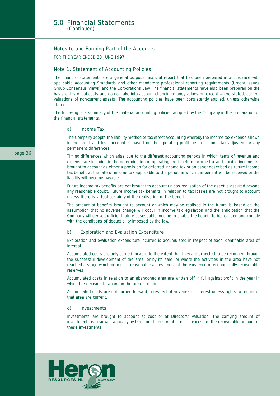#### Notes to and Forming Part of the Accounts

FOR THE YEAR ENDED 30 JUNE 1997

#### Note 1. Statement of Accounting Policies

The financial statements are a general purpose financial report that has been prepared in accordance with applicable Accounting Standards and other mandatory professional reporting requirements (Urgent Issues Group Consensus Views) and the Corporations Law. The financial statements have also been prepared on the basis of historical costs and do not take into account changing money values or, except where stated, current valuations of non-current assets. The accounting policies have been consistently applied, unless otherwise stated.

The following is a summary of the material accounting policies adopted by the Company in the preparation of the financial statements.

#### a) Income Tax

The Company adopts the liability method of tax-effect accounting whereby the income tax expense shown in the profit and loss account is based on the operating profit before income tax adjusted for any permanent differences.

Timing differences which arise due to the different accounting periods in which items of revenue and expense are included in the determination of operating profit before income tax and taxable income are brought to account as either a provision for deferred income tax or an asset described as future income tax benefit at the rate of income tax applicable to the period in which the benefit will be received or the liability will become payable.

Future income tax benefits are not brought to account unless realisation of the asset is assured beyond any reasonable doubt. Future income tax benefits in relation to tax losses are not brought to account unless there is virtual certainty of the realisation of the benefit.

The amount of benefits brought to account or which may be realised in the future is based on the assumption that no adverse change will occur in income tax legislation and the anticipation that the Company will derive sufficient future assessable income to enable the benefit to be realised and comply with the conditions of deductibility imposed by the law.

#### b) Exploration and Evaluation Expenditure

Exploration and evaluation expenditure incurred is accumulated in respect of each identifiable area of interest.

Accumulated costs are only carried forward to the extent that they are expected to be recouped through the successful development of the area, or by its sale, or where the activities in the area have not reached a stage which permits a reasonable assessment of the existence of economically recoverable reserves.

Accumulated costs in relation to an abandoned area are written off in full against profit in the year in which the decision to abandon the area is made.

Accumulated costs are not carried forward in respect of any area of interest unless rights to tenure of that area are current.

#### c) Investments

Investments are brought to account at cost or at Directors' valuation. The carrying amount of investments is reviewed annually by Directors to ensure it is not in excess of the recoverable amount of these investments.

![](_page_37_Picture_18.jpeg)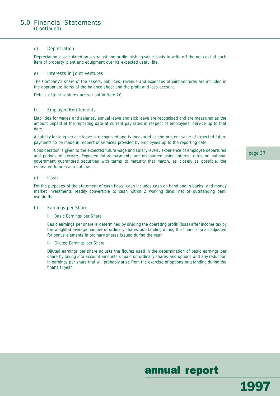#### d) Depreciation

Depreciation is calculated on a straight line or diminishing value basis to write off the net cost of each item of property, plant and equipment over its expected useful life.

#### e) Interests in Joint Ventures

The Company's share of the assets, liabilities, revenue and expenses of joint ventures are included in the appropriate items of the balance sheet and the profit and loss account.

Details of joint ventures are set out in Note 20.

#### f) Employee Entitlements

Liabilities for wages and salaries, annual leave and sick leave are recognised and are measured as the amount unpaid at the reporting date at current pay rates in respect of employees' service up to that date.

A liability for long service leave is recognised and is measured as the present value of expected future payments to be made in respect of services provided by employees up to the reporting date.

Consideration is given to the expected future wage and salary levels, experience of employee departures and periods of service. Expected future payments are discounted using interest rates on national government guaranteed securities with terms to maturity that match, as closely as possible, the estimated future cash outflows.

#### g) Cash

For the purposes of the statement of cash flows, cash includes cash on hand and in banks, and money market investments readily convertible to cash within 2 working days, net of outstanding bank overdrafts.

#### h) Earnings per Share

#### i) Basic Earnings per Share

Basic earnings per share is determined by dividing the operating profit/(loss) after income tax by the weighted average number of ordinary shares outstanding during the financial year, adjusted for bonus elements in ordinary shares issued during the year.

ii) Diluted Earnings per Share

Diluted earnings per share adjusts the figures used in the determination of basic earnings per share by taking into account amounts unpaid on ordinary shares and options and any reduction in earnings per share that will probably arise from the exercise of options outstanding during the financial year.

page 37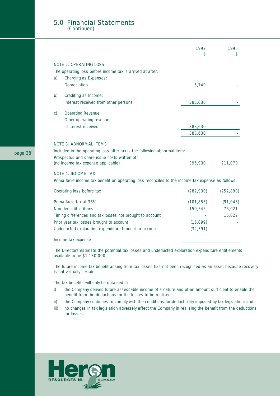#### 5.0 Financial Statements (Continued)

|              |                                                                                                   | 1997       | 1996       |
|--------------|---------------------------------------------------------------------------------------------------|------------|------------|
|              | <b>NOTE 2. OPERATING LOSS</b>                                                                     |            |            |
|              | The operating loss before income tax is arrived at after:                                         |            |            |
| a)           | Charging as Expenses:                                                                             |            |            |
|              | Depreciation                                                                                      | 5,749      |            |
| b)           | Crediting as Income:                                                                              |            |            |
|              | Interest received from other persons                                                              | 383,630    |            |
| $\mathsf{C}$ | Operating Revenue:                                                                                |            |            |
|              | Other operating revenue                                                                           |            |            |
|              | Interest received                                                                                 | 383,630    |            |
|              |                                                                                                   | 383,630    |            |
|              | <b>NOTE 3. ABNORMAL ITEMS</b>                                                                     |            |            |
|              | Included in the operating loss after tax is the following abnormal item:                          |            |            |
|              | Prospectus and share issue costs written off                                                      |            |            |
|              | (no income tax expense applicable)                                                                | 395,930    | 211,070    |
|              | <b>NOTE 4. INCOME TAX</b>                                                                         |            |            |
|              | Prima facie income tax benefit on operating loss reconciles to the income tax expense as follows: |            |            |
|              | Operating loss before tax                                                                         | (282,930)  | (252, 898) |
|              | Prima facie tax at 36%                                                                            | (101, 855) | (91, 043)  |
|              | Non deductible items                                                                              | 150,545    | 76,021     |
|              | Timing differences and tax losses not brought to account                                          |            | 15,022     |
|              | Prior year tax losses brought to account                                                          | (16,099)   |            |
|              | Undeducted exploration expenditure brought to account                                             | (32, 591)  |            |
|              | Income tax expense                                                                                |            |            |

The Directors estimate the potential tax losses and undeducted exploration expenditure entitlements available to be \$1,130,000.

The future income tax benefit arising from tax losses has not been recognised as an asset because recovery is not virtually certain.

The tax benefits will only be obtained if:

- i) the Company derives future assessable income of a nature and of an amount sufficient to enable the benefit from the deductions for the losses to be realised;
- ii) the Company continues to comply with the conditions for deductibility imposed by tax legislation; and
- iii) no changes in tax legislation adversely affect the Company in realising the benefit from the deductions for losses.

![](_page_39_Picture_8.jpeg)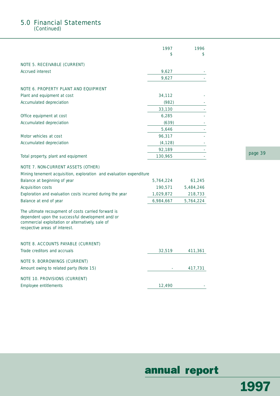### 5.0 Financial Statements

(Continued)

|                                                                                                                                                                                               | 1997<br>\$ | 1996<br>\$ |
|-----------------------------------------------------------------------------------------------------------------------------------------------------------------------------------------------|------------|------------|
| <b>NOTE 5. RECEIVABLE (CURRENT)</b>                                                                                                                                                           |            |            |
| <b>Accrued interest</b>                                                                                                                                                                       | 9,627      |            |
|                                                                                                                                                                                               | 9,627      |            |
| NOTE 6. PROPERTY PLANT AND EQUIPMENT                                                                                                                                                          |            |            |
| Plant and equipment at cost                                                                                                                                                                   | 34,112     |            |
| Accumulated depreciation                                                                                                                                                                      | (982)      |            |
|                                                                                                                                                                                               | 33,130     |            |
| Office equipment at cost                                                                                                                                                                      | 6,285      |            |
| Accumulated depreciation                                                                                                                                                                      | (639)      |            |
|                                                                                                                                                                                               | 5,646      |            |
| Motor vehicles at cost                                                                                                                                                                        | 96,317     |            |
| Accumulated depreciation                                                                                                                                                                      | (4, 128)   |            |
|                                                                                                                                                                                               | 92,189     |            |
| Total property, plant and equipment                                                                                                                                                           | 130,965    |            |
| <b>NOTE 7. NON-CURRENT ASSETS (OTHER)</b>                                                                                                                                                     |            |            |
| Mining tenement acquisition, exploration and evaluation expenditure                                                                                                                           |            |            |
| Balance at beginning of year                                                                                                                                                                  | 5,764,224  | 61,245     |
| <b>Acquisition costs</b>                                                                                                                                                                      | 190,571    | 5,484,246  |
| Exploration and evaluation costs incurred during the year                                                                                                                                     | 1,029,872  | 218,733    |
| Balance at end of year                                                                                                                                                                        | 6,984,667  | 5,764,224  |
| The ultimate recoupment of costs carried forward is<br>dependent upon the successful development and/or<br>commercial exploitation or alternatively, sale of<br>respective areas of interest. |            |            |

#### NOTE 8. ACCOUNTS PAYABLE (CURRENT)

| Trade creditors and accruals            | 32,519 | 411,361 |
|-----------------------------------------|--------|---------|
| NOTE 9. BORROWINGS (CURRENT)            |        |         |
| Amount owing to related party (Note 15) |        | 417,731 |
| NOTE 10. PROVISIONS (CURRENT)           |        |         |
| Employee entitlements                   | 12,490 |         |

page 39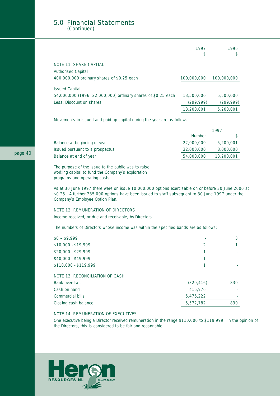#### 5.0 Financial Statements (Continued)

|                                                             | 1997<br>\$  | 1996<br>\$. |
|-------------------------------------------------------------|-------------|-------------|
| <b>NOTE 11. SHARE CAPITAL</b>                               |             |             |
| <b>Authorised Capital</b>                                   |             |             |
| 400,000,000 ordinary shares of \$0.25 each                  | 100,000,000 | 100,000,000 |
| <b>Issued Capital</b>                                       |             |             |
| 54,000,000 (1996 22,000,000) ordinary shares of \$0.25 each | 13,500,000  | 5,500,000   |
| Less: Discount on shares                                    | (299, 999)  | (299, 999)  |
|                                                             | 13,200,001  | 5,200,001   |

Movements in issued and paid up capital during the year are as follows:

|                                 | 1997          |            |  |
|---------------------------------|---------------|------------|--|
|                                 | <b>Number</b> |            |  |
| Balance at beginning of year    | 22,000,000    | 5,200,001  |  |
| Issued pursuant to a prospectus | 32,000,000    | 8,000,000  |  |
| Balance at end of year          | 54,000,000    | 13,200,001 |  |

The purpose of the issue to the public was to raise working capital to fund the Company's exploration programs and operating costs.

As at 30 June 1997 there were on issue 10,000,000 options exercisable on or before 30 June 2000 at \$0.25. A further 285,000 options have been issued to staff subsequent to 30 June 1997 under the Company's Employee Option Plan.

#### NOTE 12. REMUNERATION OF DIRECTORS

Income received, or due and receivable, by Directors

The numbers of Directors whose income was within the specified bands are as follows:

| $$0 - $9,999$                          |            |     |
|----------------------------------------|------------|-----|
| $$10,000 - $19,999$                    | 2          |     |
| $$20,000 - $29,999$                    |            |     |
| \$40,000 - \$49,999                    |            |     |
| \$110,000 - \$119,999                  |            |     |
| <b>NOTE 13. RECONCILIATION OF CASH</b> |            |     |
| Bank overdraft                         | (320, 416) | 830 |
| Cash on hand                           | 416,976    |     |
| Commercial bills                       | 5,476,222  |     |
| Closing cash balance                   | 5,572,782  | 830 |

#### NOTE 14. REMUNERATION OF EXECUTIVES

One executive being a Director received remuneration in the range \$110,000 to \$119,999. In the opinion of the Directors, this is considered to be fair and reasonable.

![](_page_41_Picture_12.jpeg)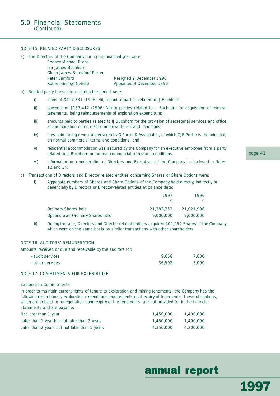#### NOTE 15. RELATED PARTY DISCLOSURES

| a) The Directors of the Company during the financial year were: |                           |
|-----------------------------------------------------------------|---------------------------|
| Rodney Michael Evans                                            |                           |
| Ian James Buchhorn                                              |                           |
| Glenn James Beresford Porter                                    |                           |
| Peter Bamford                                                   | Resigned 9 December 1996  |
| Robert George Colville                                          | Appointed 9 December 1996 |
|                                                                 |                           |

- b) Related party transactions during the period were:
	- i) loans of \$417,731 (1996: Nil) repaid to parties related to IJ Buchhorn;
	- ii) payment of \$167,412 (1996: Nil) to parties related to IJ Buchhorn for acquisition of mineral tenements, being reimbursements of exploration expenditure;
	- iii) amounts paid to parties related to IJ Buchhorn for the provision of secretarial services and office accommodation on normal commercial terms and conditions;
	- iv) fees paid for legal work undertaken by G Porter & Associates, of which GJB Porter is the principal, on normal commercial terms and conditions; and
	- v) residential accommodation was secured by the Company for an executive employee from a party related to IJ Buchhorn on normal commercial terms and conditions.
	- vi) information on remuneration of Directors and Executives of the Company is disclosed in Notes 12 and 14.
- c) Transactions of Directors and Director related entities concerning Shares or Share Options were:
	- i) Aggregate numbers of Shares and Share Options of the Company held directly, indirectly or beneficially by Directors or Director-related entities at balance date:

|                                   | 1997       | 1996       |
|-----------------------------------|------------|------------|
| Ordinary Shares held              | 21,382,252 | 21,021,998 |
| Options over Ordinary Shares held | 9,000,000  | 9,000,000  |

ii) During the year, Directors and Director related entities acquired 400,254 Shares of the Company which were on the same basis as similar transactions with other shareholders.

#### NOTE 16. AUDITORS' REMUNERATION

Amounts received or due and receivable by the auditors for:

| - audit services | 9.658  | 7.000 |
|------------------|--------|-------|
| - other services | 36,592 | 5,000 |

#### NOTE 17. COMMITMENTS FOR EXPENDITURE

#### Exploration Commitments

In order to maintain current rights of tenure to exploration and mining tenements, the Company has the following discretionary exploration expenditure requirements until expiry of tenements. These obligations, which are subject to renegotiation upon expiry of the tenements, are not provided for in the financial statements and are payable:

| Not later than 1 year                         | 1,450,000 | 1,400,000 |
|-----------------------------------------------|-----------|-----------|
| Later than 1 year but not later than 2 years  | 1,450,000 | 1,400,000 |
| Later than 2 years but not later than 5 years | 4,350,000 | 4,200,000 |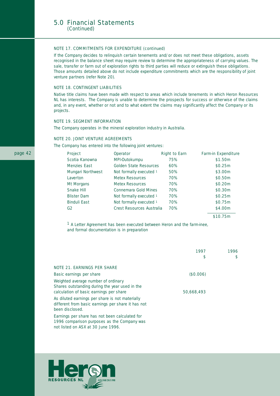#### NOTE 17. COMMITMENTS FOR EXPENDITURE (continued)

If the Company decides to relinquish certain tenements and/or does not meet these obligations, assets recognised in the balance sheet may require review to determine the appropriateness of carrying values. The sale, transfer or farm out of exploration rights to third parties will reduce or extinguish these obligations. Those amounts detailed above do not include expenditure commitments which are the responsibility of joint venture partners (refer Note 20).

#### NOTE 18. CONTINGENT LIABILITIES

Native title claims have been made with respect to areas which include tenements in which Heron Resources NL has interests. The Company is unable to determine the prospects for success or otherwise of the claims and, in any event, whether or not and to what extent the claims may significantly affect the Company or its projects.

#### NOTE 19. SEGMENT INFORMATION

The Company operates in the mineral exploration industry in Australia.

#### NOTE 20. JOINT VENTURE AGREEMENTS

The Company has entered into the following joint ventures:

| <b>Project</b>      | <b>Operator</b>           | <b>Right to Earn</b> | <b>Farm-in Expenditure</b> |
|---------------------|---------------------------|----------------------|----------------------------|
| Scotia Kanowna      | MPI-Outokumpu             | 75%                  | \$1.50m                    |
| Menzies East        | Golden State Resources    | 60%                  | \$0.25m                    |
| Mungari Northwest   | Not formally executed 1   | 50%                  | \$3.00m                    |
| Laverton            | <b>Metex Resources</b>    | 70%                  | \$0.50m                    |
| Mt Morgans          | Metex Resources           | 70%                  | \$0.20m                    |
| Snake Hill          | Connemara Gold Mines      | 70%                  | \$0.30m                    |
| <b>Blister Dam</b>  | Not formally executed 1   | 70%                  | \$0.25m                    |
| <b>Binduli East</b> | Not formally executed 1   | 70%                  | \$0.75m                    |
| G2                  | Crest Resources Australia | 70%                  | \$4.00m                    |
|                     |                           |                      |                            |

\$10.75m

*1 A Letter Agreement has been executed between Heron and the farm-inee, and formal documentation is in preparation*

|                                                                                                                                  | 1997<br>S  | 1996<br>\$ |
|----------------------------------------------------------------------------------------------------------------------------------|------------|------------|
| <b>NOTE 21. EARNINGS PER SHARE</b>                                                                                               |            |            |
| Basic earnings per share                                                                                                         | (\$0.006)  |            |
| Weighted average number of ordinary<br>Shares outstanding during the year used in the<br>calculation of basic earnings per share | 50,668,493 |            |
| As diluted earnings per share is not materially<br>different from basic earnings per share it has not<br>been disclosed.         |            |            |
| Earnings per share has not been calculated for<br>1996 comparison purposes as the Company was                                    |            |            |

not listed on ASX at 30 June 1996.

![](_page_43_Picture_13.jpeg)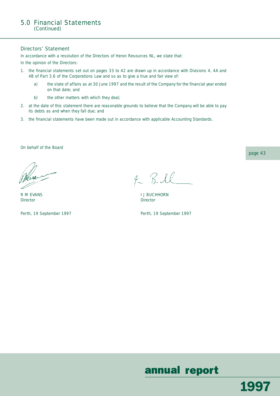#### Directors' Statement

In accordance with a resolution of the Directors of Heron Resources NL, we state that:

In the opinion of the Directors:

- 1. the financial statements set out on pages 33 to 42 are drawn up in accordance with Divisions 4, 4A and 4B of Part 3.6 of the Corporations Law and so as to give a true and fair view of:
	- a) the state of affairs as at 30 June 1997 and the result of the Company for the financial year ended on that date; and
	- b) the other matters with which they deal;
- 2. at the date of this statement there are reasonable grounds to believe that the Company will be able to pay its debts as and when they fall due; and
- 3. the financial statements have been made out in accordance with applicable Accounting Standards.

On behalf of the Board

*Director Director*

 $4 - RIL$ 

R M EVANS **I** J BUCHHORN

Perth, 19 September 1997 **Perth, 19 September 1997** 

annual report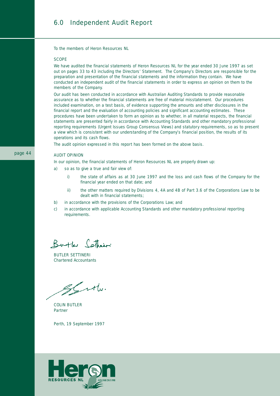### 6.0 Independent Audit Report

To the members of Heron Resources NL

#### **SCOPE**

We have audited the financial statements of Heron Resources NL for the year ended 30 June 1997 as set out on pages 33 to 43 including the Directors' Statement. The Company's Directors are responsible for the preparation and presentation of the financial statements and the information they contain. We have conducted an independent audit of the financial statements in order to express an opinion on them to the members of the Company.

Our audit has been conducted in accordance with Australian Auditing Standards to provide reasonable assurance as to whether the financial statements are free of material misstatement. Our procedures included examination, on a test basis, of evidence supporting the amounts and other disclosures in the financial report and the evaluation of accounting policies and significant accounting estimates. These procedures have been undertaken to form an opinion as to whether, in all material respects, the financial statements are presented fairly in accordance with Accounting Standards and other mandatory professional reporting requirements (Urgent Issues Group Consensus Views) and statutory requirements, so as to present a view which is consistent with our understanding of the Company's financial position, the results of its operations and its cash flows.

The audit opinion expressed in this report has been formed on the above basis.

#### AUDIT OPINION

In our opinion, the financial statements of Heron Resources NL are properly drawn up:

- a) so as to give a true and fair view of:
	- i) the state of affairs as at 30 June 1997 and the loss and cash flows of the Company for the financial year ended on that date; and
	- ii) the other matters required by Divisions 4, 4A and 4B of Part 3.6 of the Corporations Law to be dealt with in financial statements;
- b) in accordance with the provisions of the Corporations Law; and
- c) in accordance with applicable Accounting Standards and other mandatory professional reporting requirements.

Butter Catherine

BUTLER SETTINERI *Chartered Accountants*

gently

COLIN BUTLER *Partner*

Perth, 19 September 1997

![](_page_45_Picture_18.jpeg)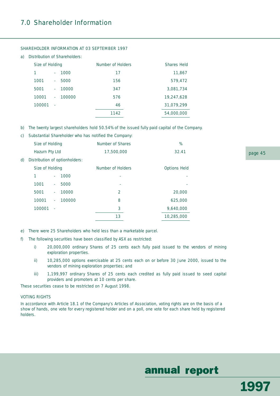### 7.0 Shareholder Information

a) Distribution of Shareholders:

| Size of Holding |    |        | <b>Number of Holders</b> | <b>Shares Held</b> |
|-----------------|----|--------|--------------------------|--------------------|
|                 | ×. | 1000   | 17                       | 11,867             |
| 1001            | ×. | 5000   | 156                      | 579,472            |
| 5001            | ×. | 10000  | 347                      | 3,081,734          |
| 10001           | ×. | 100000 | 576                      | 19,247,628         |
| 100001          | ä, |        | 46                       | 31,079,299         |
|                 |    |        | 1142                     | 54,000,000         |

#### SHAREHOLDER INFORMATION AT 03 SEPTEMBER 1997

- b) The twenty largest shareholders hold 50.54% of the issued fully paid capital of the Company.
- c) Substantial Shareholder who has notified the Company:

|    | <b>Size of Holding</b>         |          |        | <b>Number of Shares</b>  | %                   |
|----|--------------------------------|----------|--------|--------------------------|---------------------|
|    | Hazurn Pty Ltd                 |          |        | 17,500,000               | 32.41               |
| d) | Distribution of optionholders: |          |        |                          |                     |
|    | <b>Size of Holding</b>         |          |        | <b>Number of Holders</b> | <b>Options Held</b> |
|    | 1                              | $\sim$   | 1000   | ٠                        | ٠                   |
|    | 1001                           | $\omega$ | 5000   | ÷                        | ÷                   |
|    | 5001                           | $\sim$   | 10000  | 2                        | 20,000              |
|    | 10001<br>$\mathbf{r}$          |          | 100000 | 8                        | 625,000             |
|    | 100001<br>$\epsilon$           |          |        | 3                        | 9,640,000           |
|    |                                |          |        | 13                       | 10,285,000          |
|    |                                |          |        |                          |                     |

- e) There were 25 Shareholders who held less than a marketable parcel.
- f) The following securities have been classified by ASX as restricted:
	- i) 20,000,000 ordinary Shares of 25 cents each fully paid issued to the vendors of mining exploration properties.
	- ii) 10,285,000 options exercisable at 25 cents each on or before 30 June 2000, issued to the vendors of mining exploration properties; and
	- iii) 1,199,997 ordinary Shares of 25 cents each credited as fully paid issued to seed capital providers and promoters at 10 cents per share.

These securities cease to be restricted on 7 August 1998.

#### VOTING RIGHTS

In accordance with Article 18.1 of the Company's Articles of Association, voting rights are on the basis of a show of hands, one vote for every registered holder and on a poll, one vote for each share held by registered holders.

## annual report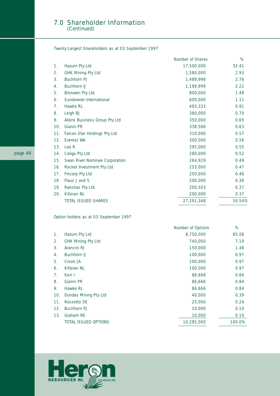#### 7.0 Shareholder Information (Continued)

Twenty Largest Shareholders as at 03 September 1997

|     |                                | <b>Number of Shares</b> | %      |
|-----|--------------------------------|-------------------------|--------|
| 1.  | Hazurn Pty Ltd                 | 17,500,000              | 32.41  |
| 2.  | <b>GHK Mining Pty Ltd</b>      | 1,580,000               | 2.93   |
| 3.  | <b>Buchhorn PJ</b>             | 1,489,998               | 2.76   |
| 4.  | Buchhorn IJ                    | 1,199,999               | 2.22   |
| 5.  | Bronwen Pty Ltd                | 800,000                 | 1.48   |
| 6.  | Sundowner International        | 600,000                 | 1.11   |
| 7.  | Hawke RL                       | 493,333                 | 0.91   |
| 8.  | Leigh BJ                       | 380,000                 | 0.70   |
| 9.  | Allens Business Group Pty Ltd  | 350,000                 | 0.65   |
| 10. | Gianni PR                      | 338,586                 | 0.63   |
| 11. | Falcon Star Holdings Pty Ltd   | 310,000                 | 0.57   |
| 12. | Everest WA                     | 300,000                 | 0.56   |
| 13. | Lee R                          | 295,000                 | 0.55   |
| 14. | Caliga Pty Ltd                 | 280,000                 | 0.52   |
| 15. | Swan River Nominee Corporation | 264,929                 | 0.49   |
| 16. | Rocket Investment Pty Ltd      | 253,000                 | 0.47   |
| 17. | Fincorp Pty Ltd                | 250,000                 | 0.46   |
| 18. | Flaus J and S                  | 206,000                 | 0.38   |
| 19. | Rakshas Pty Ltd                | 200,503                 | 0.37   |
| 20. | Killoran NL                    | 200,000                 | 0.37   |
|     | <b>TOTAL ISSUED SHARES</b>     | 27,291,348              | 50.54% |
|     |                                |                         |        |

Option holders as at 03 September 1997

|     |                             | <b>Number of Options</b> | %      |
|-----|-----------------------------|--------------------------|--------|
| 1.  | Hazurn Pty Ltd              | 8,750,000                | 85.08  |
| 2.  | <b>GHK Mining Pty Ltd</b>   | 740,000                  | 7.19   |
| 3.  | Arancini RJ                 | 150,000                  | 1.46   |
| 4.  | <b>Buchhorn IJ</b>          | 100,000                  | 0.97   |
| 5.  | Crook JA                    | 100,000                  | 0.97   |
| 6.  | Killoran NL                 | 100,000                  | 0.97   |
| 7.  | Kerr I                      | 86,668                   | 0.84   |
| 8.  | Gianni PR                   | 86,666                   | 0.84   |
| 9.  | Hawke RL                    | 86,666                   | 0.84   |
| 10. | Dundas Mining Pty Ltd       | 40,000                   | 0.39   |
| 11. | Rossetto SE                 | 25,000                   | 0.24   |
| 12. | <b>Buchhorn PJ</b>          | 10,000                   | 0.10   |
| 13. | Graham RE                   | 10,000                   | 0.10   |
|     | <b>TOTAL ISSUED OPTIONS</b> | 10,285,000               | 100.0% |

![](_page_47_Picture_5.jpeg)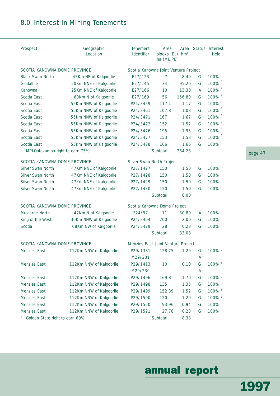### 8.0 Interest In Mining Tenements

| <b>Prospect</b>                                           | Geographic<br>Location  | <b>Tenement</b><br><b>Identifier</b> | Area<br>blocks (EL)<br>ha (ML, PL) | Area<br>km <sup>2</sup> |   | Status Interest<br><b>Held</b> |
|-----------------------------------------------------------|-------------------------|--------------------------------------|------------------------------------|-------------------------|---|--------------------------------|
| <b>SCOTIA KANOWNA DOME PROVINCE</b>                       |                         | Scotia Kanowna Joint Venture Project |                                    |                         |   |                                |
| <b>Black Swan North</b>                                   | 45Km NE of Kalgoorlie   | E27/123                              | $\overline{7}$                     | 8.40                    | G | 100%                           |
| Gindalbie                                                 | 50Km NNE of Kalgoorlie  | E27/145                              | 34                                 | 95.20                   | G | 100%                           |
| Kanowna                                                   | 25Km NNE of Kalgoorlie  | E27/166                              | 10                                 | 13.30                   | A | 100%                           |
| Scotia East                                               | 60Km N of Kalgoorlie    | E27/169                              | 56                                 | 156.80                  | G | 100%                           |
| Scotia East                                               | 55Km NNW of Kalgoorlie  | P24/3459                             | 117.4                              | 1.17                    | G | 100%                           |
| Scotia East                                               | 55Km NNW of Kalgoorlie  | P24/3461                             | 107.8                              | 1.08                    | G | 100%                           |
| Scotia East                                               | 55Km NNW of Kalgoorlie  | P24/3471                             | 167                                | 1.67                    | G | 100%                           |
| Scotia East                                               | 55Km NNW of Kalgoorlie  | P24/3472                             | 152                                | 1.52                    | G | 100%                           |
| Scotia East                                               | 55Km NNW of Kalgoorlie  | P24/3476                             | 195                                | 1.95                    | G | 100%                           |
| Scotia East                                               | 55Km NNW of Kalgoorlie  | P24/3477                             | 153                                | 1.53                    | G | 100%                           |
| Scotia East                                               | 55Km NNW of Kalgoorlie  | P24/3478                             | 166                                | 1.66                    | G | $100\%$ <sup>1</sup>           |
| MPI-Outokumpu right to earn 75%                           |                         |                                      | Subtotal                           | 284.28                  |   |                                |
| <b>SCOTIA KANOWNA DOME PROVINCE</b>                       |                         | <b>Silver Swan North Project</b>     |                                    |                         |   |                                |
| <b>Silver Swan North</b>                                  | 47Km NNE of Kalgoorlie  | P27/1427                             | 150                                | 1.50                    | G | 100%                           |
| Silver Swan North                                         | 47Km NNE of Kalgoorlie  | P27/1428                             | 150                                | 1.50                    | G | 100%                           |
| Silver Swan North                                         | 47Km NNE of Kalgoorlie  | P27/1429                             | 150                                | 1.50                    | G | 100%                           |
| Silver Swan North                                         | 47Km NNE of Kalgoorlie  | P27/1430                             | 150                                | 1.50                    | G | 100%                           |
|                                                           |                         |                                      | Subtotal                           | 6.00                    |   |                                |
| <b>SCOTIA KANOWNA DOME PROVINCE</b>                       |                         | Scotia Kanowna Dome Project          |                                    |                         |   |                                |
| Mulgarrie North                                           | 47Km N of Kalgoorlie    | E24/97                               | 11                                 | 30.80                   | A | 100%                           |
| King of the West                                          | 30Km NNW of Kalgoorlie  | P24/3404                             | 200                                | 2.00                    | G | 100%                           |
| Scotia                                                    | 68Km NW of Kalgoorlie   | P24/3479                             | 28                                 | 0.28                    | G | 100%                           |
|                                                           |                         |                                      | Subtotal                           | 33.08                   |   |                                |
| <b>SCOTIA KANOWNA DOME PROVINCE</b>                       |                         | Menzies East Joint Venture Project   |                                    |                         |   |                                |
| Menzies East                                              | 112Km NNW of Kalgoorlie | P29/1381                             | 128.75                             | 1.29                    | G | 100% <sup>2</sup>              |
|                                                           |                         | M29/231                              |                                    |                         | A |                                |
| Menzies East                                              | 112Km NNW of Kalgoorlie | P29/1413                             | 10                                 | 0.10                    | G | 100% <sup>2</sup>              |
|                                                           |                         | M29/230                              |                                    |                         | A |                                |
| Menzies East                                              | 112Km NNW of Kalgoorlie | P29/1496                             | 169.8                              | 1.70                    | G | 100% <sup>2</sup>              |
| Menzies East                                              | 112Km NNW of Kalgoorlie | P29/1498                             | 135                                | 1.35                    | G | 100% <sup>2</sup>              |
| Menzies East                                              | 112Km NNW of Kalgoorlie | P29/1499                             | 152.39                             | 1.52                    | G | 100% <sup>2</sup>              |
| Menzies East                                              | 112Km NNW of Kalgoorlie | P29/1500                             | 120                                | 1.20                    | G | 100% <sup>2</sup>              |
| Menzies East                                              | 112Km NNW of Kalgoorlie | P29/1520                             | 93.96                              | 0.94                    | G | 100% <sup>2</sup>              |
| Menzies East                                              | 112Km NNW of Kalgoorlie | P29/1521                             | 27.78                              | 0.28                    | G | 100% <sup>2</sup>              |
| Golden State right to earn 60%<br>$\overline{\mathbf{c}}$ |                         |                                      | Subtotal                           | 8.38                    |   |                                |

page 47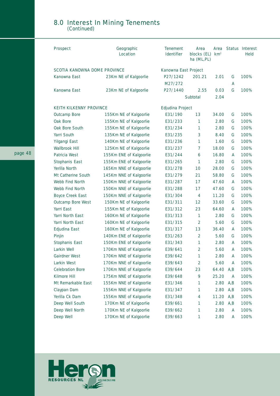#### 8.0 Interest In Mining Tenements (Continued)

| <b>Prospect</b>                     | Geographic<br>Location  | <b>Tenement</b><br>Identifier | Area<br>blocks (EL)<br>ha (ML,PL) | Area<br>km <sup>2</sup> |      | <b>Status Interest</b><br><b>Held</b> |
|-------------------------------------|-------------------------|-------------------------------|-----------------------------------|-------------------------|------|---------------------------------------|
| <b>SCOTIA KANOWNA DOME PROVINCE</b> |                         | Kanowna East Project          |                                   |                         |      |                                       |
| Kanowna East                        | 23Km NE of Kalgoorlie   | P27/1242                      | 201.21                            | 2.01                    | G    | 100%                                  |
|                                     |                         | M27/272                       |                                   |                         | A    |                                       |
| Kanowna East                        | 23Km NE of Kalgoorlie   | P27/1440                      | 2.55                              | 0.03                    | G    | 100%                                  |
|                                     |                         |                               | Subtotal                          | 2.04                    |      |                                       |
| <b>KEITH KILKENNY PROVINCE</b>      |                         | <b>Edjudina Project</b>       |                                   |                         |      |                                       |
| Outcamp Bore                        | 155Km NE of Kalgoorlie  | E31/190                       | 13                                | 34.00                   | G    | 100%                                  |
| Oak Bore                            | 155Km NE of Kalgoorlie  | E31/233                       | 1                                 | 2.80                    | G    | 100%                                  |
| Oak Bore South                      | 155Km NE of Kalgoorlie  | E31/234                       | 1                                 | 2.80                    | G    | 100%                                  |
| Yarri South                         | 135Km NE of Kalgoorlie  | E31/235                       | 3                                 | 8.40                    | G    | 100%                                  |
| Yilgangi East                       | 140Km NE of Kalgoorlie  | E31/236                       | 1                                 | 1.60                    | G    | 100%                                  |
| Wallbrook Hill                      | 125Km NE of Kalgoorlie  | E31/237                       | 7                                 | 18.00                   | G    | 100%                                  |
| Patricia West                       | 155Km ENE of Kalgoorlie | E31/244                       | 6                                 | 16.80                   | A    | 100%                                  |
| Stophanis East                      | 155Km ENE of Kalgoorlie | E31/265                       | 1                                 | 2.80                    | G    | 100%                                  |
| Yerilla North                       | 165Km NNE of Kalgoorlie | E31/278                       | 10                                | 28.00                   | G    | 100%                                  |
| Mt Catherine South                  | 145Km NNE of Kalgoorlie | E31/279                       | 21                                | 58.80                   | G    | 100%                                  |
| Webb Find North                     | 150Km NNE of Kalgoorlie | E31/287                       | 17                                | 47.60                   | A    | 100%                                  |
| Webb Find North                     | 150Km NNE of Kalgoorlie | E31/288                       | 17                                | 47.60                   | G    | 100%                                  |
| <b>Boyce Creek East</b>             | 150Km NNE of Kalgoorlie | E31/304                       | 4                                 | 11.20                   | G    | 100%                                  |
| Outcamp Bore West                   | 150Km NE of Kalgoorlie  | E31/311                       | 12                                | 33.60                   | G    | 100%                                  |
| Yarri East                          | 155Km NE of Kalgoorlie  | E31/312                       | 23                                | 64.60                   | A    | 100%                                  |
| Yarri North East                    | 160Km NE of Kalgoorlie  | E31/313                       | 1                                 | 2.80                    | G    | 100%                                  |
| Yarri North East                    | 160Km NE of Kalgoorlie  | E31/315                       | $\overline{2}$                    | 5.60                    | G    | 100%                                  |
| Edjudina East                       | 160Km NE of Kalgoorlie  | E31/317                       | 13                                | 36.40                   | A    | 100%                                  |
| Pinjin                              | 140Km ENE of Kalgoorlie | E31/263                       | 2                                 | 5.60                    | G    | 100%                                  |
| Stophanis East                      | 150Km ENE of Kalgoorlie | E31/343                       | $\mathbf{1}$                      | 2.80                    | A    | 100%                                  |
| Larkin Well                         | 170Km NNE of Kalgoorlie | E39/641                       | $\overline{2}$                    | 5.60                    | A    | 100%                                  |
| Gairdner West                       | 170Km NNE of Kalgoorlie | E39/642                       | 1                                 | 2.80                    | A    | 100%                                  |
| Larkin West                         | 170Km NNE of Kalgoorlie | E39/643                       | $\overline{2}$                    | 5.60                    | A    | 100%                                  |
| <b>Celebration Bore</b>             | 170Km NNE of Kalgoorlie | E39/644                       | 23                                | 64.40                   | A, B | 100%                                  |
| Kilmore Hill                        | 175Km NNE of Kalgoorlie | E39/648                       | 9                                 | 25.20                   | A    | 100%                                  |
| Mt Remarkable East                  | 155Km NNE of Kalgoorlie | E31/346                       | 1                                 | 2.80                    | A, B | 100%                                  |
| Claypan Dam                         | 155Km NNE of Kalgoorlie | E31/347                       | 1                                 | 2.80                    | A, B | 100%                                  |
| Yerilla Ck Dam                      | 155Km NNE of Kalgoorlie | E31/348                       | 4                                 | 11.20                   | A, B | 100%                                  |
| Deep Well South                     | 170Km NE of Kalgoorlie  | E39/661                       | 1                                 | 2.80                    | A, B | 100%                                  |
| Deep Well North                     | 170Km NE of Kalgoorlie  | E39/662                       | 1                                 | 2.80                    | A    | 100%                                  |
| Deep Well                           | 170Km NE of Kalgoorlie  | E39/663                       | 1                                 | 2.80                    | A    | 100%                                  |

![](_page_49_Picture_2.jpeg)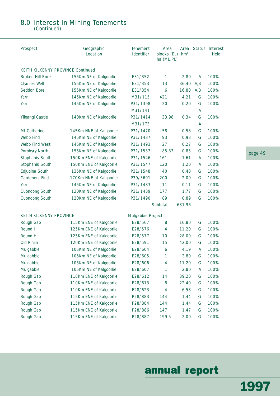### 8.0 Interest In Mining Tenements

(Continued)

| <b>Prospect</b>                          | Geographic<br><b>Location</b> | <b>Tenement</b><br><b>Identifier</b> | Area<br>blocks (EL)<br>ha (ML,PL) | Area<br>km <sup>2</sup> |      | <b>Status Interest</b><br><b>Held</b> |
|------------------------------------------|-------------------------------|--------------------------------------|-----------------------------------|-------------------------|------|---------------------------------------|
| <b>KEITH KILKENNY PROVINCE Continued</b> |                               |                                      |                                   |                         |      |                                       |
| Broken Hill Bore                         | 155Km NE of Kalgoorlie        | E31/352                              | 1                                 | 2.80                    | A    | 100%                                  |
| Clymies Well                             | 155Km NE of Kalgoorlie        | E31/353                              | 13                                | 36.40                   | A,B  | 100%                                  |
| Seddon Bore                              | 155Km NE of Kalgoorlie        | E31/354                              | 6                                 | 16.80                   | A, B | 100%                                  |
| Yarri                                    | 145Km NE of Kalgoorlie        | M31/115                              | 421                               | 4.21                    | G    | 100%                                  |
| Yarri                                    | 145Km NE of Kalgoorlie        | P31/1398                             | 20                                | 0.20                    | G    | 100%                                  |
|                                          |                               | M31/141                              |                                   |                         | А    |                                       |
| Yilgangi Castle                          | 140Km NE of Kalgoorlie        | P31/1414                             | 33.98                             | 0.34                    | G    | 100%                                  |
|                                          |                               | M31/173                              |                                   |                         | Α    |                                       |
| Mt Catherine                             | 145Km NNE of Kalgoorlie       | P31/1470                             | 58                                | 0.58                    | G    | 100%                                  |
| Webb Find                                | 145Km NE of Kalgoorlie        | P31/1487                             | 93                                | 0.93                    | G    | 100%                                  |
| Webb Find West                           | 145Km NE of Kalgoorlie        | P31/1493                             | 27                                | 0.27                    | G    | 100%                                  |
| Porphyry North                           | 155Km NE of Kalgoorlie        | P31/1537                             | 85.33                             | 0.85                    | G    | 100%                                  |
| Stophanis South                          | 150Km ENE of Kalgoorlie       | P31/1546                             | 161                               | 1.61                    | A    | 100%                                  |
| Stophanis South                          | 150Km ENE of Kalgoorlie       | P31/1547                             | 120                               | 1.20                    | A    | 100%                                  |
| Edjudina South                           | 135Km NE of Kalgoorlie        | P31/1548                             | 40                                | 0.40                    | G    | 100%                                  |
| <b>Gardeners Find</b>                    | 170Km NNE of Kalgoorlie       | P39/3691                             | 200                               | 2.00                    | G    | 100%                                  |
| Yarri                                    | 145Km NE of Kalgoorlie        | P31/1483                             | 11                                | 0.11                    | G    | 100%                                  |
| Quondong South                           | 120Km NE of Kalgoorlie        | P31/1489                             | 177                               | 1.77                    | G    | 100%                                  |
| Quondong South                           | 120Km NE of Kalgoorlie        | P31/1490                             | 89                                | 0.89                    | G    | 100%                                  |
|                                          |                               |                                      | Subtotal                          | 631.96                  |      |                                       |
| <b>KEITH KILKENNY PROVINCE</b>           |                               | <b>Mulgabbie Project</b>             |                                   |                         |      |                                       |
| Rough Gap                                | 115Km ENE of Kalgoorlie       | E28/567                              | 8                                 | 16.80                   | G    | 100%                                  |
| Round Hill                               | 125Km ENE of Kalgoorlie       | E28/576                              | 4                                 | 11.20                   | G    | 100%                                  |
| Round Hill                               | 125Km ENE of Kalgoorlie       | E28/577                              | 10                                | 28.00                   | G    | 100%                                  |
| Old Pinjin                               | 120Km ENE of Kalgoorlie       | E28/591                              | 15                                | 42.00                   | G    | 100%                                  |
| Mulgabbie                                | 105Km NE of Kalgoorlie        | E28/604                              | 6                                 | 4.19                    | A    | 100%                                  |
| Mulgabbie                                | 105Km NE of Kalgoorlie        | E28/605                              | 1                                 | 2.80                    | G    | 100%                                  |
| Mulgabbie                                | 105Km NE of Kalgoorlie        | E28/606                              | 4                                 | 11.20                   | G    | 100%                                  |
| Mulgabbie                                | 105Km NE of Kalgoorlie        | E28/607                              | 1                                 | 2.80                    | A    | 100%                                  |
| Rough Gap                                | 110Km ENE of Kalgoorlie       | E28/612                              | 14                                | 39.20                   | G    | 100%                                  |
| Rough Gap                                | 110Km ENE of Kalgoorlie       | E28/613                              | 8                                 | 22.40                   | G    | 100%                                  |
| Rough Gap                                | 110Km ENE of Kalgoorlie       | E28/623                              | 4                                 | 6.58                    | G    | 100%                                  |
| Rough Gap                                | 115Km ENE of Kalgoorlie       | P28/883                              | 144                               | 1.44                    | G    | 100%                                  |
| Rough Gap                                | 115Km ENE of Kalgoorlie       | P28/884                              | 144                               | 1.44                    | G    | 100%                                  |
| Rough Gap                                | 115Km ENE of Kalgoorlie       | P28/886                              | 147                               | 1.47                    | G    | 100%                                  |
| Rough Gap                                | 115Km ENE of Kalgoorlie       | P28/887                              | 199.5                             | 2.00                    | G    | 100%                                  |

page 49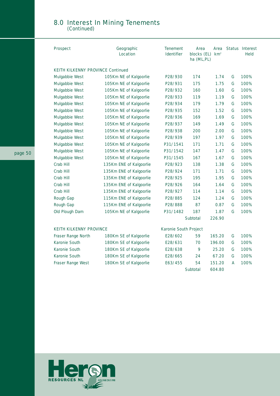### 8.0 Interest In Mining Tenements

(Continued)

| <b>Prospect</b>                          | Geographic<br><b>Location</b> | <b>Tenement</b><br>Area<br><b>Identifier</b><br>blocks (EL) km <sup>2</sup><br>ha (ML, PL) |          | Area   |   | <b>Status Interest</b><br>Held |
|------------------------------------------|-------------------------------|--------------------------------------------------------------------------------------------|----------|--------|---|--------------------------------|
| <b>KEITH KILKENNY PROVINCE Continued</b> |                               |                                                                                            |          |        |   |                                |
| Mulgabbie West                           | 105Km NE of Kalgoorlie        | P28/930                                                                                    | 174      | 1.74   | G | 100%                           |
| Mulgabbie West                           | 105Km NE of Kalgoorlie        | P28/931                                                                                    | 175      | 1.75   | G | 100%                           |
| Mulgabbie West                           | 105Km NE of Kalgoorlie        | P28/932                                                                                    | 160      | 1.60   | G | 100%                           |
| Mulgabbie West                           | 105Km NE of Kalgoorlie        | P28/933                                                                                    | 119      | 1.19   | G | 100%                           |
| Mulgabbie West                           | 105Km NE of Kalgoorlie        | P28/934                                                                                    | 179      | 1.79   | G | 100%                           |
| Mulgabbie West                           | 105Km NE of Kalgoorlie        | P28/935                                                                                    | 152      | 1.52   | G | 100%                           |
| Mulgabbie West                           | 105Km NE of Kalgoorlie        | P28/936                                                                                    | 169      | 1.69   | G | 100%                           |
| Mulgabbie West                           | 105Km NE of Kalgoorlie        | P28/937                                                                                    | 149      | 1.49   | G | 100%                           |
| Mulgabbie West                           | 105Km NE of Kalgoorlie        | P28/938                                                                                    | 200      | 2.00   | G | 100%                           |
| Mulgabbie West                           | 105Km NE of Kalgoorlie        | P28/939                                                                                    | 197      | 1.97   | G | 100%                           |
| Mulgabbie West                           | 105Km NE of Kalgoorlie        | P31/1541                                                                                   | 171      | 1.71   | G | 100%                           |
| Mulgabbie West                           | 105Km NE of Kalgoorlie        | P31/1542                                                                                   | 147      | 1.47   | G | 100%                           |
| Mulgabbie West                           | 105Km NE of Kalgoorlie        | P31/1545                                                                                   | 167      | 1.67   | G | 100%                           |
| Crab Hill                                | 135Km ENE of Kalgoorlie       | P28/923                                                                                    | 138      | 1.38   | G | 100%                           |
| Crab Hill                                | 135Km ENE of Kalgoorlie       | P28/924                                                                                    | 171      | 1.71   | G | 100%                           |
| Crab Hill                                | 135Km ENE of Kalgoorlie       | P28/925                                                                                    | 195      | 1.95   | G | 100%                           |
| Crab Hill                                | 135Km ENE of Kalgoorlie       | P28/926                                                                                    | 164      | 1.64   | G | 100%                           |
| Crab Hill                                | 135Km ENE of Kalgoorlie       | P28/927                                                                                    | 114      | 1.14   | G | 100%                           |
| Rough Gap                                | 115Km ENE of Kalgoorlie       | P28/885                                                                                    | 124      | 1.24   | G | 100%                           |
| Rough Gap                                | 115Km ENE of Kalgoorlie       | P28/888                                                                                    | 87       | 0.87   | G | 100%                           |
| Old Plough Dam                           | 105Km NE of Kalgoorlie        | P31/1482                                                                                   | 187      | 1.87   | G | 100%                           |
|                                          |                               |                                                                                            | Subtotal | 226.90 |   |                                |
| <b>KEITH KILKENNY PROVINCE</b>           |                               | Karonie South Project                                                                      |          |        |   |                                |
| Fraser Range North                       | 180Km SE of Kalgoorlie        | E28/602                                                                                    | 59       | 165.20 | G | 100%                           |
| Karonie South                            | 180Km SE of Kalgoorlie        | E28/631                                                                                    | 70       | 196.00 | G | 100%                           |
| Karonie South                            | 180Km SE of Kalgoorlie        | E28/638                                                                                    | 9        | 25.20  | G | 100%                           |
| Karonie South                            | 180Km SE of Kalgoorlie        | E28/665                                                                                    | 24       | 67.20  | G | 100%                           |
| Fraser Range West                        | 180Km SE of Kalgoorlie        | E63/455                                                                                    | 54       | 151.20 | A | 100%                           |
|                                          |                               |                                                                                            | Subtotal | 604.80 |   |                                |
|                                          |                               |                                                                                            |          |        |   |                                |

![](_page_51_Picture_3.jpeg)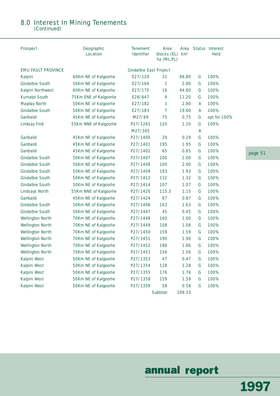#### 8.0 Interest In Mining Tenements (Continued)

| <b>Prospect</b>           | Geographic<br>Location | <b>Tenement</b><br><b>Identifier</b> | Area<br>blocks (EL)<br>ha (ML, PL) | Area<br>km <sup>2</sup> |   | Status Interest<br><b>Held</b> |
|---------------------------|------------------------|--------------------------------------|------------------------------------|-------------------------|---|--------------------------------|
| <b>EMU FAULT PROVINCE</b> |                        | <b>Gindalbie East Project</b>        |                                    |                         |   |                                |
| Kalpini                   | 60Km NE of Kalgoorlie  | E27/129                              | 31                                 | 86.80                   | G | 100%                           |
| Gindalbie South           | 50Km NE of Kalgoorlie  | E27/164                              | 1                                  | 2.80                    | G | 100%                           |
| Kalpini Northwest         | 60Km NE of Kalgoorlie  | E27/170                              | 16                                 | 44.80                   | G | 100%                           |
| Kurnalpi South            | 75Km ENE of Kalgoorlie | E28/647                              | 4                                  | 11.20                   | G | 100%                           |
| Mayday North              | 50Km NE of Kalgoorlie  | E27/182                              | 1                                  | 2.80                    | A | 100%                           |
| Gindalbie South           | 50Km NE of Kalgoorlie  | E27/183                              | 7                                  | 19.60                   | A | 100%                           |
| Garibaldi                 | 45Km NE of Kalgoorlie  | M27/69                               | 75                                 | 0.75                    | G | opt for 100%                   |
| <b>Lindsay Find</b>       | 55Km NNE of Kalgoorlie | P27/1265                             | 120                                | 1.20                    | G | 100%                           |
|                           |                        | M27/305                              |                                    |                         | A |                                |
| Garibaldi                 | 45Km NE of Kalgoorlie  | P27/1400                             | 29                                 | 0.29                    | G | 100%                           |
| Garibaldi                 | 45Km NE of Kalgoorlie  | P27/1401                             | 195                                | 1.95                    | G | 100%                           |
| Garibaldi                 | 45Km NE of Kalgoorlie  | P27/1402                             | 65                                 | 0.65                    | G | 100%                           |
| Gindalbie South           | 50Km NE of Kalgoorlie  | P27/1407                             | 200                                | 2.00                    | G | 100%                           |
| <b>Gindalbie South</b>    | 50Km NE of Kalgoorlie  | P27/1408                             | 200                                | 2.00                    | G | 100%                           |
| Gindalbie South           | 50Km NE of Kalgoorlie  | P27/1409                             | 193                                | 1.93                    | G | 100%                           |
| Gindalbie South           | 50Km NE of Kalgoorlie  | P27/1412                             | 132                                | 1.32                    | G | 100%                           |
| Gindalbie South           | 50Km NE of Kalgoorlie  | P27/1414                             | 107                                | 1.07                    | G | 100%                           |
| Lindsays North            | 55Km NNE of Kalgoorlie | P27/1420                             | 115.3                              | 1.15                    | G | 100%                           |
| Garibaldi                 | 45Km NE of Kalgoorlie  | P27/1424                             | 87                                 | 0.87                    | G | 100%                           |
| Gindalbie South           | 50Km NE of Kalgoorlie  | P27/1446                             | 163                                | 1.63                    | G | 100%                           |
| Gindalbie South           | 50Km NE of Kalgoorlie  | P27/1447                             | 45                                 | 0.45                    | G | 100%                           |
| Wellington North          | 70Km NE of Kalgoorlie  | P27/1448                             | 160                                | 1.60                    | G | 100%                           |
| Wellington North          | 70Km NE of Kalgoorlie  | P27/1449                             | 108                                | 1.08                    | G | 100%                           |
| Wellington North          | 70Km NE of Kalgoorlie  | P27/1450                             | 159                                | 1.59                    | G | 100%                           |
| Wellington North          | 70Km NE of Kalgoorlie  | P27/1451                             | 190                                | 1.90                    | G | 100%                           |
| Wellington North          | 70Km NE of Kalgoorlie  | P27/1452                             | 186                                | 1.86                    | G | 100%                           |
| <b>Wellington North</b>   | 70Km NE of Kalgoorlie  | P27/1453                             | 156                                | 1.56                    | G | 100%                           |
| Kalpini West              | 50Km NE of Kalgoorlie  | P27/1353                             | 47                                 | 0.47                    | G | 100%                           |
| Kalpini West              | 50Km NE of Kalgoorlie  | P27/1354                             | 128                                | 1.28                    | G | 100%                           |
| Kalpini West              | 50Km NE of Kalgoorlie  | P27/1355                             | 176                                | 1.76                    | G | 100%                           |
| Kalpini West              | 50Km NE of Kalgoorlie  | P27/1358                             | 159                                | 1.59                    | G | 100%                           |
| Kalpini West              | 50Km NE of Kalgoorlie  | P27/1359                             | 58                                 | 0.58                    | G | 100%                           |
|                           |                        |                                      | Subtotal                           | 199.33                  |   |                                |

page 51

## annual report

1997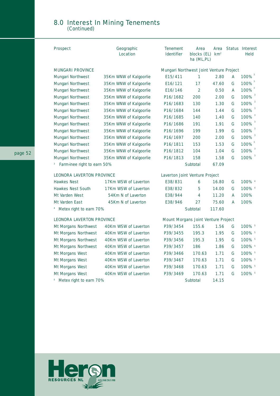### 8.0 Interest In Mining Tenements

(Continued)

| <b>Prospect</b>                  | Geographic<br>Location | <b>Tenement</b><br><b>Identifier</b>    | Area<br>blocks (EL)<br>ha (ML,PL) | Area<br>km <sup>2</sup> |   | <b>Status Interest</b><br><b>Held</b> |
|----------------------------------|------------------------|-----------------------------------------|-----------------------------------|-------------------------|---|---------------------------------------|
| <b>MUNGARI PROVINCE</b>          |                        | Mungari Northwest Joint Venture Project |                                   |                         |   |                                       |
| Mungari Northwest                | 35Km WNW of Kalgoorlie | E15/411                                 | 1                                 | 2.80                    | A | 100%                                  |
| Mungari Northwest                | 35Km WNW of Kalgoorlie | E16/121                                 | 17                                | 47.60                   | G | 100%                                  |
| Mungari Northwest                | 35Km WNW of Kalgoorlie | E16/146                                 | 2                                 | 0.50                    | A | 100%                                  |
| Mungari Northwest                | 35Km WNW of Kalgoorlie | P16/1682                                | 200                               | 2.00                    | G | 100% 3                                |
| Mungari Northwest                | 35Km WNW of Kalgoorlie | P16/1683                                | 130                               | 1.30                    | G | 100%                                  |
| Mungari Northwest                | 35Km WNW of Kalgoorlie | P16/1684                                | 144                               | 1.44                    | G | 100%                                  |
| Mungari Northwest                | 35Km WNW of Kalgoorlie | P16/1685                                | 140                               | 1.40                    | G | 100%                                  |
| Mungari Northwest                | 35Km WNW of Kalgoorlie | P16/1686                                | 191                               | 1.91                    | G | 100%                                  |
| Mungari Northwest                | 35Km WNW of Kalgoorlie | P16/1696                                | 199                               | 1.99                    | G | $100\%$ <sup>3</sup>                  |
| Mungari Northwest                | 35Km WNW of Kalgoorlie | P16/1697                                | 200                               | 2.00                    | G | 100%                                  |
| Mungari Northwest                | 35Km WNW of Kalgoorlie | P16/1811                                | 153                               | 1.53                    | G | 100%                                  |
| Mungari Northwest                | 35Km WNW of Kalgoorlie | P16/1812                                | 104                               | 1.04                    | G | 100%                                  |
| Mungari Northwest                | 35Km WNW of Kalgoorlie | P16/1813                                | 158                               | 1.58                    | G | 100% 3                                |
| Farm-inee right to earn 50%<br>3 |                        |                                         | Subtotal                          | 67.09                   |   |                                       |
| <b>LEONORA LAVERTON PROVINCE</b> |                        | Laverton Joint Venture Project          |                                   |                         |   |                                       |
| <b>Hawkes Nest</b>               | 17Km WSW of Laverton   | E38/831                                 | 6                                 | 16.80                   | G | 100% 4                                |
| Hawkes Nest South                | 17Km WSW of Laverton   | E38/832                                 | 5                                 | 14.00                   | G | 100% 4                                |
| Mt Varden West                   | 54Km N of Laverton     | E38/944                                 | 4                                 | 11.20                   | A | 100%                                  |
| Mt Varden East                   | 45Km N of Laverton     | E38/946                                 | 27                                | 75.60                   | A | 100%                                  |
| Metex right to earn 70%          |                        |                                         | Subtotal                          | 117.60                  |   |                                       |
| <b>LEONORA LAVERTON PROVINCE</b> |                        | Mount Morgans Joint Venture Project     |                                   |                         |   |                                       |
| Mt Morgans Northwest             | 40Km WSW of Laverton   | P39/3454                                | 155.6                             | 1.56                    | G | 100% 5                                |
| Mt Morgans Northwest             | 40Km WSW of Laverton   | P39/3455                                | 195.3                             | 1.95                    | G | 100% 5                                |
| Mt Morgans Northwest             | 40Km WSW of Laverton   | P39/3456                                | 195.3                             | 1.95                    | G | 100% 5                                |
| Mt Morgans Northwest             | 40Km WSW of Laverton   | P39/3457                                | 186                               | 1.86                    | G | 100% 5                                |
| Mt Morgans West                  | 40Km WSW of Laverton   | P39/3466                                | 170.63                            | 1.71                    | G | 100% 5                                |
| Mt Morgans West                  | 40Km WSW of Laverton   | P39/3467                                | 170.63                            | 1.71                    | G | 100% 5                                |
| Mt Morgans West                  | 40Km WSW of Laverton   | P39/3468                                | 170.63                            | 1.71                    | G | 100% 5                                |
| Mt Morgans West                  | 40Km WSW of Laverton   | P39/3469                                | 170.63                            | 1.71                    | G | 100% 5                                |
| Metex right to earn 70%          |                        |                                         | Subtotal                          | 14.15                   |   |                                       |

![](_page_53_Picture_3.jpeg)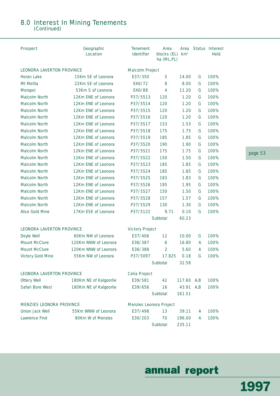#### 8.0 Interest In Mining Tenements (Continued)

Prospect **CEO Geographic** Tenement Area Area Status Interest Location **Identifier** blocks (EL) km<sup>2</sup> Held ha (ML,PL) LEONORA LAVERTON PROVINCE Malcolm Project Horan Lake 15Km SE of Leonora E37/350 5 14.00 G 100% Mt Melita 22Km SE of Leonora E40/72 8 8.00 G 100% Morapoi 53Km S of Leonora E40/88 4 11.20 G 100% Malcolm North 12Km ENE of Leonora P37/5513 120 1.20 G 100% Malcolm North  $12$ Km ENE of Leonora  $P$ 37/5514 120 1.20 G 100% Malcolm North **12Km ENE of Leonora** P37/5515 120 1.20 G 100% Malcolm North 12Km ENE of Leonora P37/5516 120 1.20 G 100% Malcolm North  $12$ Km ENE of Leonora  $P37/5517$  153 1.53 G 100% Malcolm North **12Km ENE of Leonora** P37/5518 175 1.75 G 100% Malcolm North **12Km ENE of Leonora** P37/5519 185 1.85 G 100% Malcolm North 12Km ENE of Leonora P37/5520 190 1.90 G 100% Malcolm North 12Km ENE of Leonora P37/5521 175 1.75 G 100% Malcolm North 12Km ENE of Leonora P37/5522 150 1.50 G 100% Malcolm North 12Km ENE of Leonora P37/5523 185 1.85 G 100% Malcolm North 12Km ENE of Leonora P37/5524 185 1.85 G 100% Malcolm North **12Km ENE of Leonora** P37/5525 183 1.83 G 100% Malcolm North 12Km ENE of Leonora P37/5526 195 1.95 G 100% Malcolm North 12Km ENE of Leonora P37/5527 150 1.50 G 100% Malcolm North **12Km ENE of Leonora** P37/5528 157 1.57 G 100% Malcolm North 12Km ENE of Leonora P37/5529 130 1.30 G 100% Alice Gold Mine **17Km ESE of Leonora** P37/5122 9.71 0.10 G 100% Subtotal 60.23 LEONORA LAVERTON PROVINCE Victory Project Doyle Well 60Km NW of Leonora E37/406 12 10.00 G 100% Mount McClure  $120$ Km NNW of Leonora E36/387 6 16.80 A 100% Mount McClure  $120$ Km NNW of Leonora  $E$ 36/388 2 5.60 A 100% Victory Gold Mine 55Km NW of Leonora P37/5097 17.825 0.18 G 100% Subtotal 32.58 LEONORA LAVERTON PROVINCE Celia Project Ottery Well **180Km NE of Kalgoorlie** E39/581 42 117.60 A,B 100% Safari Bore West 180Km NE of Kalgoorlie E39/656 16 43.91 A,B 100% Subtotal 161.51 MENZIES LEONORA PROVINCE Menzies Leonora Project Union Jack Well 55Km WNW of Leonora E37/498 13 39.11 A 100% Lawrence Find 80Km W of Menzies E30/203 70 196.00 A 100% Subtotal 235.11

page 53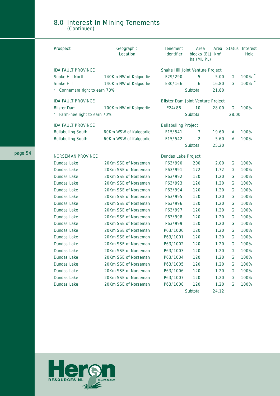#### 8.0 Interest In Mining Tenements (Continued)

| <b>Prospect</b>                  | Geographic<br>Location | <b>Tenement</b><br><b>Identifier</b>     | Area<br>blocks (EL) km <sup>2</sup><br>ha (ML, PL) | Area  |       | <b>Status Interest</b><br><b>Held</b> |
|----------------------------------|------------------------|------------------------------------------|----------------------------------------------------|-------|-------|---------------------------------------|
| <b>IDA FAULT PROVINCE</b>        |                        | <b>Snake Hill Joint Venture Project</b>  |                                                    |       |       |                                       |
| Snake Hill North                 | 140Km NW of Kalgoorlie | E29/290                                  | 5                                                  | 5.00  | G     | 100%                                  |
| Snake Hill                       | 140Km NW of Kalgoorlie | E30/166                                  | 6                                                  | 16.80 | G     | 100%                                  |
| Connemara right to earn 70%      |                        |                                          | Subtotal                                           | 21.80 |       |                                       |
| <b>IDA FAULT PROVINCE</b>        |                        | <b>Blister Dam Joint Venture Project</b> |                                                    |       |       |                                       |
| <b>Blister Dam</b>               | 100Km NW of Kalgoorlie | E24/88                                   | 10                                                 | 28.00 | G     | 100%                                  |
| 7<br>Farm-inee right to earn 70% |                        |                                          | Subtotal                                           |       | 28.00 |                                       |
| <b>IDA FAULT PROVINCE</b>        |                        | <b>Bullabulling Project</b>              |                                                    |       |       |                                       |
| <b>Bullabulling South</b>        | 60Km WSW of Kalgoorlie | E15/541                                  | 7                                                  | 19.60 | A     | 100%                                  |
| <b>Bullabulling South</b>        | 60Km WSW of Kalgoorlie | E15/542                                  | 2                                                  | 5.60  | A     | 100%                                  |
|                                  |                        |                                          | Subtotal                                           | 25.20 |       |                                       |
| <b>NORSEMAN PROVINCE</b>         |                        | <b>Dundas Lake Project</b>               |                                                    |       |       |                                       |
| Dundas Lake                      | 20Km SSE of Norseman   | P63/990                                  | 200                                                | 2.00  | G     | 100%                                  |
| Dundas Lake                      | 20Km SSE of Norseman   | P63/991                                  | 172                                                | 1.72  | G     | 100%                                  |
| Dundas Lake                      | 20Km SSE of Norseman   | P63/992                                  | 120                                                | 1.20  | G     | 100%                                  |
| Dundas Lake                      | 20Km SSE of Norseman   | P63/993                                  | 120                                                | 1.20  | G     | 100%                                  |
| Dundas Lake                      | 20Km SSE of Norseman   | P63/994                                  | 120                                                | 1.20  | G     | 100%                                  |
| Dundas Lake                      | 20Km SSE of Norseman   | P63/995                                  | 120                                                | 1.20  | G     | 100%                                  |
| Dundas Lake                      | 20Km SSE of Norseman   | P63/996                                  | 120                                                | 1.20  | G     | 100%                                  |
| Dundas Lake                      | 20Km SSE of Norseman   | P63/997                                  | 120                                                | 1.20  | G     | 100%                                  |
| Dundas Lake                      | 20Km SSE of Norseman   | P63/998                                  | 120                                                | 1.20  | G     | 100%                                  |
| Dundas Lake                      | 20Km SSE of Norseman   | P63/999                                  | 120                                                | 1.20  | G     | 100%                                  |
| Dundas Lake                      | 20Km SSE of Norseman   | P63/1000                                 | 120                                                | 1.20  | G     | 100%                                  |
| Dundas Lake                      | 20Km SSE of Norseman   | P63/1001                                 | 120                                                | 1.20  | G     | 100%                                  |
| Dundas Lake                      | 20Km SSE of Norseman   | P63/1002                                 | 120                                                | 1.20  | G     | 100%                                  |
| Dundas Lake                      | 20Km SSE of Norseman   | P63/1003                                 | 120                                                | 1.20  | G     | 100%                                  |
| Dundas Lake                      | 20Km SSE of Norseman   | P63/1004                                 | 120                                                | 1.20  | G     | 100%                                  |
| Dundas Lake                      | 20Km SSE of Norseman   | P63/1005                                 | 120                                                | 1.20  | G     | 100%                                  |
| Dundas Lake                      | 20Km SSE of Norseman   | P63/1006                                 | 120                                                | 1.20  | G     | 100%                                  |
| Dundas Lake                      | 20Km SSE of Norseman   | P63/1007                                 | 120                                                | 1.20  | G     | 100%                                  |
| Dundas Lake                      | 20Km SSE of Norseman   | P63/1008                                 | 120                                                | 1.20  | G     | 100%                                  |
|                                  |                        |                                          | Subtotal                                           | 24.12 |       |                                       |

![](_page_55_Picture_2.jpeg)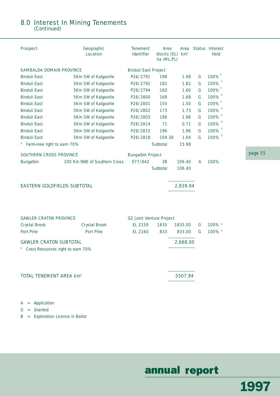## 8.0 Interest In Mining Tenements

(Continued)

| Prospect                                                                       | Geographic<br>Location       | <b>Tenement</b><br><b>Identifier</b> | Area<br>blocks $(EL)$ km <sup>2</sup><br>ha (ML, PL) | Area     |   | Status Interest<br><b>Held</b> |
|--------------------------------------------------------------------------------|------------------------------|--------------------------------------|------------------------------------------------------|----------|---|--------------------------------|
| KAMBALDA DOMAIN PROVINCE                                                       |                              | <b>Binduli East Project</b>          |                                                      |          |   |                                |
| <b>Binduli East</b>                                                            | 5Km SW of Kalgoorlie         | P26/2791                             | 198                                                  | 1.98     | G | 100%                           |
| <b>Binduli East</b>                                                            | 5Km SW of Kalgoorlie         | P26/2792                             | 182                                                  | 1.82     | G | 100%                           |
| <b>Binduli East</b>                                                            | 5Km SW of Kalgoorlie         | P26/2794                             | 160                                                  | 1.60     | G | 100%                           |
| <b>Binduli East</b>                                                            | 5Km SW of Kalgoorlie         | P26/2800                             | 168                                                  | 1.68     | G | 100%                           |
| <b>Binduli East</b>                                                            | 5Km SW of Kalgoorlie         | P26/2801                             | 150                                                  | 1.50     | G | 100%                           |
| <b>Binduli East</b>                                                            | 5Km SW of Kalgoorlie         | P26/2802                             | 173                                                  | 1.73     | G | 100%                           |
| <b>Binduli East</b>                                                            | 5Km SW of Kalgoorlie         | P26/2803                             | 196                                                  | 1.96     | G | 100%                           |
| <b>Binduli East</b>                                                            | 5Km SW of Kalgoorlie         | P26/2814                             | 71                                                   | 0.71     | G | 100%                           |
| <b>Binduli East</b>                                                            | 5Km SW of Kalgoorlie         | P26/2815                             | 196                                                  | 1.96     | G | 100%                           |
| <b>Binduli East</b>                                                            | 5Km SW of Kalgoorlie         | P26/2818                             | 104.38                                               | 1.04     | G | 8<br>100%                      |
| Farm-inee right to earn 70%<br>8                                               |                              |                                      | Subtotal                                             | 15.98    |   |                                |
| SOUTHERN CROSS PROVINCE                                                        |                              | <b>Bungalbin Project</b>             |                                                      |          |   |                                |
| Bungalbin                                                                      | 100 Km NNE of Southern Cross | E77/842                              | 38                                                   | 106.40   | A | 100%                           |
|                                                                                |                              |                                      | Subtotal                                             | 106.40   |   |                                |
| <b>EASTERN GOLDFIELDS SUBTOTAL</b>                                             |                              |                                      |                                                      | 2,839.94 |   |                                |
| <b>GAWLER CRATON PROVINCE</b>                                                  |                              |                                      | <b>G2 Joint Venture Project</b>                      |          |   |                                |
| Crystal Brook                                                                  | Crystal Brook                | EL 2159                              | 1835                                                 | 1835.00  | G | 100% °                         |
| Port Pirie                                                                     | Port Pirie                   | EL 2160                              | 833                                                  | 833.00   | G | 100% °                         |
| <b>GAWLER CRATON SUBTOTAL</b>                                                  |                              |                                      |                                                      | 2,668.00 |   |                                |
| Crest Resources right to earn 70%<br><b>TOTAL TENEMENT AREA km<sup>2</sup></b> |                              |                                      |                                                      | 5507.94  |   |                                |
|                                                                                |                              |                                      |                                                      |          |   |                                |

A = Application

G = Granted

B = Exploration Licence in Ballot

## annual report